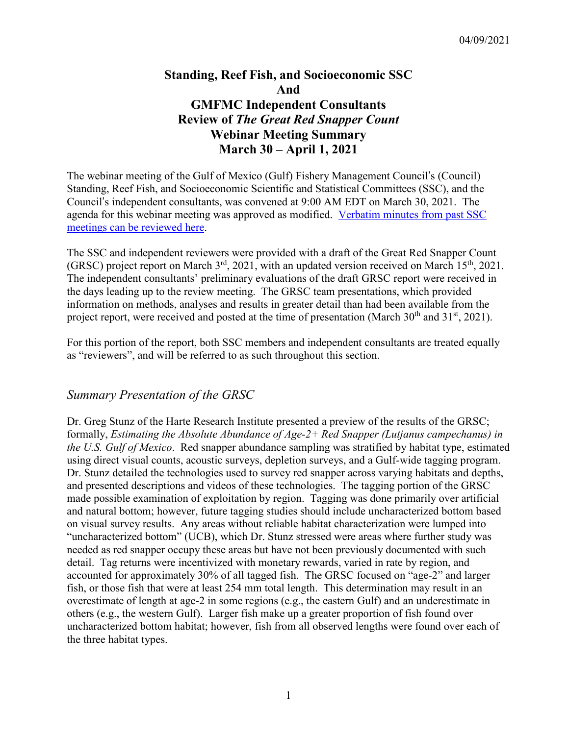# **Standing, Reef Fish, and Socioeconomic SSC And GMFMC Independent Consultants Review of** *The Great Red Snapper Count* **Webinar Meeting Summary March 30 – April 1, 2021**

The webinar meeting of the Gulf of Mexico (Gulf) Fishery Management Council's (Council) Standing, Reef Fish, and Socioeconomic Scientific and Statistical Committees (SSC), and the Council's independent consultants, was convened at 9:00 AM EDT on March 30, 2021. The agenda for this webinar meeting was approved as modified. [Verbatim](https://gulfcouncil.org/meetings/ssc/archive/) minutes from past SSC meetings can be [reviewed](https://gulfcouncil.org/meetings/ssc/archive/) here.

The SSC and independent reviewers were provided with a draft of the Great Red Snapper Count (GRSC) project report on March  $3<sup>rd</sup>$ , 2021, with an updated version received on March 15<sup>th</sup>, 2021. The independent consultants' preliminary evaluations of the draft GRSC report were received in the days leading up to the review meeting. The GRSC team presentations, which provided information on methods, analyses and results in greater detail than had been available from the project report, were received and posted at the time of presentation (March  $30<sup>th</sup>$  and  $31<sup>st</sup>$ , 2021).

For this portion of the report, both SSC members and independent consultants are treated equally as "reviewers", and will be referred to as such throughout this section.

## *Summary Presentation of the GRSC*

Dr. Greg Stunz of the Harte Research Institute presented a preview of the results of the GRSC; formally, *Estimating the Absolute Abundance of Age-2+ Red Snapper (Lutjanus campechanus) in the U.S. Gulf of Mexico*. Red snapper abundance sampling was stratified by habitat type, estimated using direct visual counts, acoustic surveys, depletion surveys, and a Gulf-wide tagging program. Dr. Stunz detailed the technologies used to survey red snapper across varying habitats and depths, and presented descriptions and videos of these technologies. The tagging portion of the GRSC made possible examination of exploitation by region. Tagging was done primarily over artificial and natural bottom; however, future tagging studies should include uncharacterized bottom based on visual survey results. Any areas without reliable habitat characterization were lumped into "uncharacterized bottom" (UCB), which Dr. Stunz stressed were areas where further study was needed as red snapper occupy these areas but have not been previously documented with such detail. Tag returns were incentivized with monetary rewards, varied in rate by region, and accounted for approximately 30% of all tagged fish. The GRSC focused on "age-2" and larger fish, or those fish that were at least 254 mm total length. This determination may result in an overestimate of length at age-2 in some regions (e.g., the eastern Gulf) and an underestimate in others (e.g., the western Gulf). Larger fish make up a greater proportion of fish found over uncharacterized bottom habitat; however, fish from all observed lengths were found over each of the three habitat types.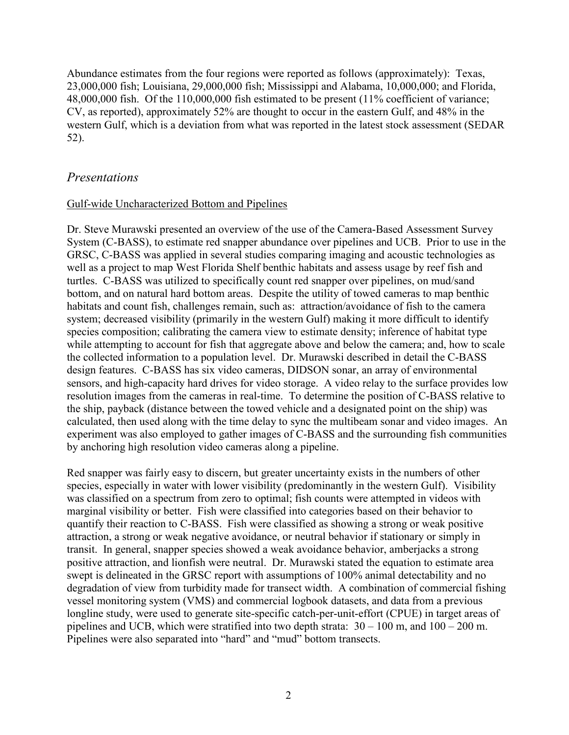Abundance estimates from the four regions were reported as follows (approximately): Texas, 23,000,000 fish; Louisiana, 29,000,000 fish; Mississippi and Alabama, 10,000,000; and Florida, 48,000,000 fish. Of the 110,000,000 fish estimated to be present (11% coefficient of variance; CV, as reported), approximately 52% are thought to occur in the eastern Gulf, and 48% in the western Gulf, which is a deviation from what was reported in the latest stock assessment (SEDAR 52).

## *Presentations*

### Gulf-wide Uncharacterized Bottom and Pipelines

Dr. Steve Murawski presented an overview of the use of the Camera-Based Assessment Survey System (C-BASS), to estimate red snapper abundance over pipelines and UCB. Prior to use in the GRSC, C-BASS was applied in several studies comparing imaging and acoustic technologies as well as a project to map West Florida Shelf benthic habitats and assess usage by reef fish and turtles. C-BASS was utilized to specifically count red snapper over pipelines, on mud/sand bottom, and on natural hard bottom areas. Despite the utility of towed cameras to map benthic habitats and count fish, challenges remain, such as: attraction/avoidance of fish to the camera system; decreased visibility (primarily in the western Gulf) making it more difficult to identify species composition; calibrating the camera view to estimate density; inference of habitat type while attempting to account for fish that aggregate above and below the camera; and, how to scale the collected information to a population level. Dr. Murawski described in detail the C-BASS design features. C-BASS has six video cameras, DIDSON sonar, an array of environmental sensors, and high-capacity hard drives for video storage. A video relay to the surface provides low resolution images from the cameras in real-time. To determine the position of C-BASS relative to the ship, payback (distance between the towed vehicle and a designated point on the ship) was calculated, then used along with the time delay to sync the multibeam sonar and video images. An experiment was also employed to gather images of C-BASS and the surrounding fish communities by anchoring high resolution video cameras along a pipeline.

Red snapper was fairly easy to discern, but greater uncertainty exists in the numbers of other species, especially in water with lower visibility (predominantly in the western Gulf). Visibility was classified on a spectrum from zero to optimal; fish counts were attempted in videos with marginal visibility or better. Fish were classified into categories based on their behavior to quantify their reaction to C-BASS. Fish were classified as showing a strong or weak positive attraction, a strong or weak negative avoidance, or neutral behavior if stationary or simply in transit. In general, snapper species showed a weak avoidance behavior, amberjacks a strong positive attraction, and lionfish were neutral. Dr. Murawski stated the equation to estimate area swept is delineated in the GRSC report with assumptions of 100% animal detectability and no degradation of view from turbidity made for transect width. A combination of commercial fishing vessel monitoring system (VMS) and commercial logbook datasets, and data from a previous longline study, were used to generate site-specific catch-per-unit-effort (CPUE) in target areas of pipelines and UCB, which were stratified into two depth strata:  $30 - 100$  m, and  $100 - 200$  m. Pipelines were also separated into "hard" and "mud" bottom transects.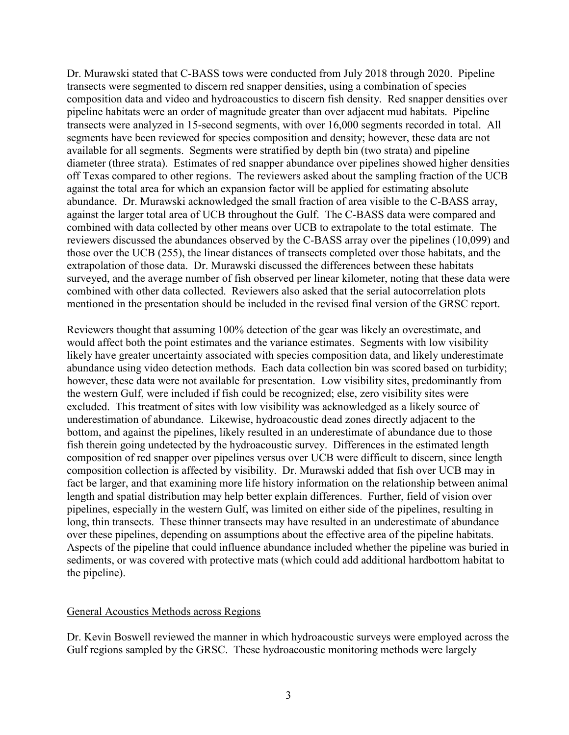Dr. Murawski stated that C-BASS tows were conducted from July 2018 through 2020. Pipeline transects were segmented to discern red snapper densities, using a combination of species composition data and video and hydroacoustics to discern fish density. Red snapper densities over pipeline habitats were an order of magnitude greater than over adjacent mud habitats. Pipeline transects were analyzed in 15-second segments, with over 16,000 segments recorded in total. All segments have been reviewed for species composition and density; however, these data are not available for all segments. Segments were stratified by depth bin (two strata) and pipeline diameter (three strata). Estimates of red snapper abundance over pipelines showed higher densities off Texas compared to other regions. The reviewers asked about the sampling fraction of the UCB against the total area for which an expansion factor will be applied for estimating absolute abundance. Dr. Murawski acknowledged the small fraction of area visible to the C-BASS array, against the larger total area of UCB throughout the Gulf. The C-BASS data were compared and combined with data collected by other means over UCB to extrapolate to the total estimate. The reviewers discussed the abundances observed by the C-BASS array over the pipelines (10,099) and those over the UCB (255), the linear distances of transects completed over those habitats, and the extrapolation of those data. Dr. Murawski discussed the differences between these habitats surveyed, and the average number of fish observed per linear kilometer, noting that these data were combined with other data collected. Reviewers also asked that the serial autocorrelation plots mentioned in the presentation should be included in the revised final version of the GRSC report.

Reviewers thought that assuming 100% detection of the gear was likely an overestimate, and would affect both the point estimates and the variance estimates. Segments with low visibility likely have greater uncertainty associated with species composition data, and likely underestimate abundance using video detection methods. Each data collection bin was scored based on turbidity; however, these data were not available for presentation. Low visibility sites, predominantly from the western Gulf, were included if fish could be recognized; else, zero visibility sites were excluded. This treatment of sites with low visibility was acknowledged as a likely source of underestimation of abundance. Likewise, hydroacoustic dead zones directly adjacent to the bottom, and against the pipelines, likely resulted in an underestimate of abundance due to those fish therein going undetected by the hydroacoustic survey. Differences in the estimated length composition of red snapper over pipelines versus over UCB were difficult to discern, since length composition collection is affected by visibility. Dr. Murawski added that fish over UCB may in fact be larger, and that examining more life history information on the relationship between animal length and spatial distribution may help better explain differences. Further, field of vision over pipelines, especially in the western Gulf, was limited on either side of the pipelines, resulting in long, thin transects. These thinner transects may have resulted in an underestimate of abundance over these pipelines, depending on assumptions about the effective area of the pipeline habitats. Aspects of the pipeline that could influence abundance included whether the pipeline was buried in sediments, or was covered with protective mats (which could add additional hardbottom habitat to the pipeline).

#### General Acoustics Methods across Regions

Dr. Kevin Boswell reviewed the manner in which hydroacoustic surveys were employed across the Gulf regions sampled by the GRSC. These hydroacoustic monitoring methods were largely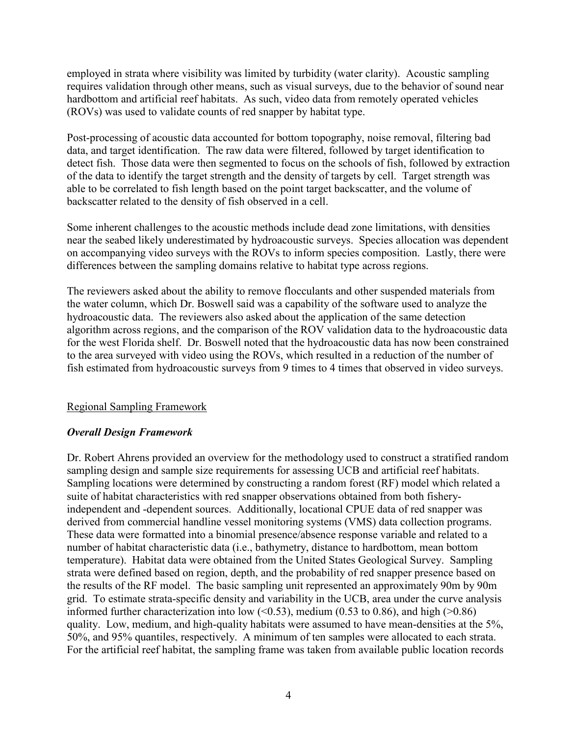employed in strata where visibility was limited by turbidity (water clarity). Acoustic sampling requires validation through other means, such as visual surveys, due to the behavior of sound near hardbottom and artificial reef habitats. As such, video data from remotely operated vehicles (ROVs) was used to validate counts of red snapper by habitat type.

Post-processing of acoustic data accounted for bottom topography, noise removal, filtering bad data, and target identification. The raw data were filtered, followed by target identification to detect fish. Those data were then segmented to focus on the schools of fish, followed by extraction of the data to identify the target strength and the density of targets by cell. Target strength was able to be correlated to fish length based on the point target backscatter, and the volume of backscatter related to the density of fish observed in a cell.

Some inherent challenges to the acoustic methods include dead zone limitations, with densities near the seabed likely underestimated by hydroacoustic surveys. Species allocation was dependent on accompanying video surveys with the ROVs to inform species composition. Lastly, there were differences between the sampling domains relative to habitat type across regions.

The reviewers asked about the ability to remove flocculants and other suspended materials from the water column, which Dr. Boswell said was a capability of the software used to analyze the hydroacoustic data. The reviewers also asked about the application of the same detection algorithm across regions, and the comparison of the ROV validation data to the hydroacoustic data for the west Florida shelf. Dr. Boswell noted that the hydroacoustic data has now been constrained to the area surveyed with video using the ROVs, which resulted in a reduction of the number of fish estimated from hydroacoustic surveys from 9 times to 4 times that observed in video surveys.

## Regional Sampling Framework

## *Overall Design Framework*

Dr. Robert Ahrens provided an overview for the methodology used to construct a stratified random sampling design and sample size requirements for assessing UCB and artificial reef habitats. Sampling locations were determined by constructing a random forest (RF) model which related a suite of habitat characteristics with red snapper observations obtained from both fisheryindependent and -dependent sources. Additionally, locational CPUE data of red snapper was derived from commercial handline vessel monitoring systems (VMS) data collection programs. These data were formatted into a binomial presence/absence response variable and related to a number of habitat characteristic data (i.e., bathymetry, distance to hardbottom, mean bottom temperature). Habitat data were obtained from the United States Geological Survey. Sampling strata were defined based on region, depth, and the probability of red snapper presence based on the results of the RF model. The basic sampling unit represented an approximately 90m by 90m grid. To estimate strata-specific density and variability in the UCB, area under the curve analysis informed further characterization into low  $(0.53)$ , medium  $(0.53 \text{ to } 0.86)$ , and high  $(0.86)$ quality. Low, medium, and high-quality habitats were assumed to have mean-densities at the 5%, 50%, and 95% quantiles, respectively. A minimum of ten samples were allocated to each strata. For the artificial reef habitat, the sampling frame was taken from available public location records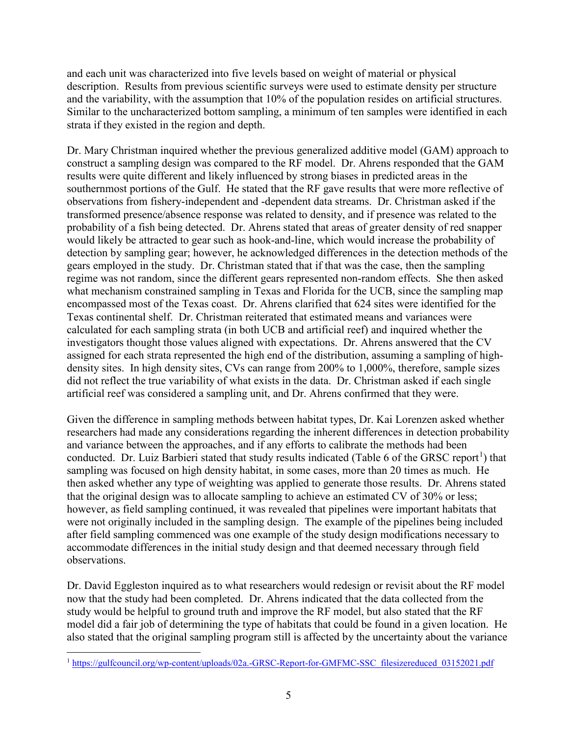and each unit was characterized into five levels based on weight of material or physical description. Results from previous scientific surveys were used to estimate density per structure and the variability, with the assumption that 10% of the population resides on artificial structures. Similar to the uncharacterized bottom sampling, a minimum of ten samples were identified in each strata if they existed in the region and depth.

Dr. Mary Christman inquired whether the previous generalized additive model (GAM) approach to construct a sampling design was compared to the RF model. Dr. Ahrens responded that the GAM results were quite different and likely influenced by strong biases in predicted areas in the southernmost portions of the Gulf. He stated that the RF gave results that were more reflective of observations from fishery-independent and -dependent data streams. Dr. Christman asked if the transformed presence/absence response was related to density, and if presence was related to the probability of a fish being detected. Dr. Ahrens stated that areas of greater density of red snapper would likely be attracted to gear such as hook-and-line, which would increase the probability of detection by sampling gear; however, he acknowledged differences in the detection methods of the gears employed in the study. Dr. Christman stated that if that was the case, then the sampling regime was not random, since the different gears represented non-random effects. She then asked what mechanism constrained sampling in Texas and Florida for the UCB, since the sampling map encompassed most of the Texas coast. Dr. Ahrens clarified that 624 sites were identified for the Texas continental shelf. Dr. Christman reiterated that estimated means and variances were calculated for each sampling strata (in both UCB and artificial reef) and inquired whether the investigators thought those values aligned with expectations. Dr. Ahrens answered that the CV assigned for each strata represented the high end of the distribution, assuming a sampling of highdensity sites. In high density sites, CVs can range from 200% to 1,000%, therefore, sample sizes did not reflect the true variability of what exists in the data. Dr. Christman asked if each single artificial reef was considered a sampling unit, and Dr. Ahrens confirmed that they were.

Given the difference in sampling methods between habitat types, Dr. Kai Lorenzen asked whether researchers had made any considerations regarding the inherent differences in detection probability and variance between the approaches, and if any efforts to calibrate the methods had been conducted. Dr. Luiz Barbieri stated that study results indicated (Table 6 of the GRSC report<sup>[1](#page-4-0)</sup>) that sampling was focused on high density habitat, in some cases, more than 20 times as much. He then asked whether any type of weighting was applied to generate those results. Dr. Ahrens stated that the original design was to allocate sampling to achieve an estimated CV of 30% or less; however, as field sampling continued, it was revealed that pipelines were important habitats that were not originally included in the sampling design. The example of the pipelines being included after field sampling commenced was one example of the study design modifications necessary to accommodate differences in the initial study design and that deemed necessary through field observations.

Dr. David Eggleston inquired as to what researchers would redesign or revisit about the RF model now that the study had been completed. Dr. Ahrens indicated that the data collected from the study would be helpful to ground truth and improve the RF model, but also stated that the RF model did a fair job of determining the type of habitats that could be found in a given location. He also stated that the original sampling program still is affected by the uncertainty about the variance

<span id="page-4-0"></span><sup>&</sup>lt;sup>1</sup> [https://gulfcouncil.org/wp-content/uploads/02a.-GRSC-Report-for-GMFMC-SSC\\_filesizereduced\\_03152021.pdf](https://gulfcouncil.org/wp-content/uploads/02a.-GRSC-Report-for-GMFMC-SSC_filesizereduced_03152021.pdf)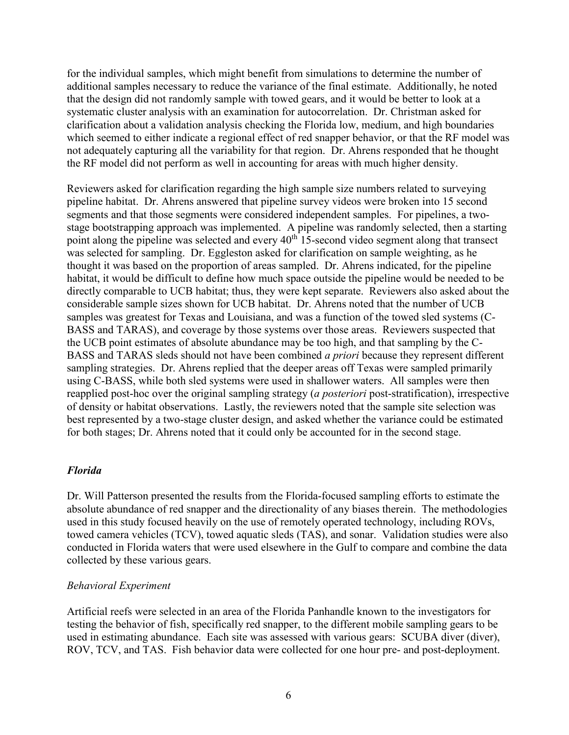for the individual samples, which might benefit from simulations to determine the number of additional samples necessary to reduce the variance of the final estimate. Additionally, he noted that the design did not randomly sample with towed gears, and it would be better to look at a systematic cluster analysis with an examination for autocorrelation. Dr. Christman asked for clarification about a validation analysis checking the Florida low, medium, and high boundaries which seemed to either indicate a regional effect of red snapper behavior, or that the RF model was not adequately capturing all the variability for that region. Dr. Ahrens responded that he thought the RF model did not perform as well in accounting for areas with much higher density.

Reviewers asked for clarification regarding the high sample size numbers related to surveying pipeline habitat. Dr. Ahrens answered that pipeline survey videos were broken into 15 second segments and that those segments were considered independent samples. For pipelines, a twostage bootstrapping approach was implemented. A pipeline was randomly selected, then a starting point along the pipeline was selected and every  $40^{th}$  15-second video segment along that transect was selected for sampling. Dr. Eggleston asked for clarification on sample weighting, as he thought it was based on the proportion of areas sampled. Dr. Ahrens indicated, for the pipeline habitat, it would be difficult to define how much space outside the pipeline would be needed to be directly comparable to UCB habitat; thus, they were kept separate. Reviewers also asked about the considerable sample sizes shown for UCB habitat. Dr. Ahrens noted that the number of UCB samples was greatest for Texas and Louisiana, and was a function of the towed sled systems (C-BASS and TARAS), and coverage by those systems over those areas. Reviewers suspected that the UCB point estimates of absolute abundance may be too high, and that sampling by the C-BASS and TARAS sleds should not have been combined *a priori* because they represent different sampling strategies. Dr. Ahrens replied that the deeper areas off Texas were sampled primarily using C-BASS, while both sled systems were used in shallower waters. All samples were then reapplied post-hoc over the original sampling strategy (*a posteriori* post-stratification), irrespective of density or habitat observations. Lastly, the reviewers noted that the sample site selection was best represented by a two-stage cluster design, and asked whether the variance could be estimated for both stages; Dr. Ahrens noted that it could only be accounted for in the second stage.

#### *Florida*

Dr. Will Patterson presented the results from the Florida-focused sampling efforts to estimate the absolute abundance of red snapper and the directionality of any biases therein. The methodologies used in this study focused heavily on the use of remotely operated technology, including ROVs, towed camera vehicles (TCV), towed aquatic sleds (TAS), and sonar. Validation studies were also conducted in Florida waters that were used elsewhere in the Gulf to compare and combine the data collected by these various gears.

#### *Behavioral Experiment*

Artificial reefs were selected in an area of the Florida Panhandle known to the investigators for testing the behavior of fish, specifically red snapper, to the different mobile sampling gears to be used in estimating abundance. Each site was assessed with various gears: SCUBA diver (diver), ROV, TCV, and TAS. Fish behavior data were collected for one hour pre- and post-deployment.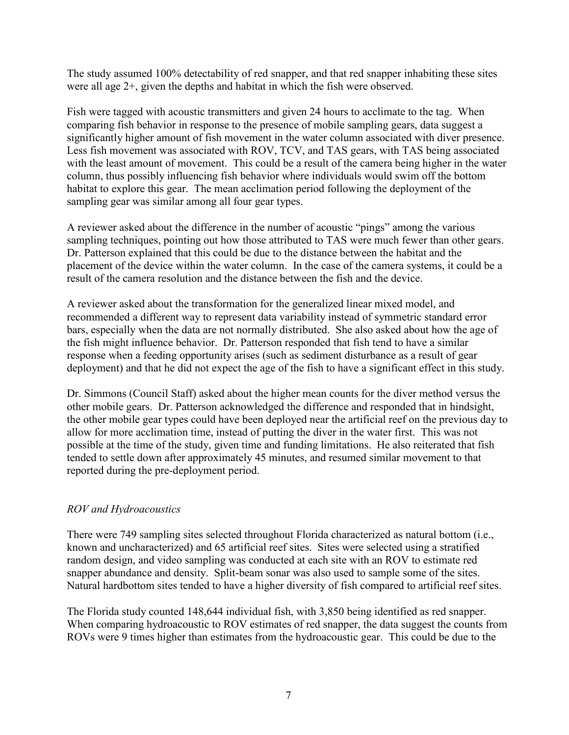The study assumed 100% detectability of red snapper, and that red snapper inhabiting these sites were all age 2+, given the depths and habitat in which the fish were observed.

Fish were tagged with acoustic transmitters and given 24 hours to acclimate to the tag. When comparing fish behavior in response to the presence of mobile sampling gears, data suggest a significantly higher amount of fish movement in the water column associated with diver presence. Less fish movement was associated with ROV, TCV, and TAS gears, with TAS being associated with the least amount of movement. This could be a result of the camera being higher in the water column, thus possibly influencing fish behavior where individuals would swim off the bottom habitat to explore this gear. The mean acclimation period following the deployment of the sampling gear was similar among all four gear types.

A reviewer asked about the difference in the number of acoustic "pings" among the various sampling techniques, pointing out how those attributed to TAS were much fewer than other gears. Dr. Patterson explained that this could be due to the distance between the habitat and the placement of the device within the water column. In the case of the camera systems, it could be a result of the camera resolution and the distance between the fish and the device.

A reviewer asked about the transformation for the generalized linear mixed model, and recommended a different way to represent data variability instead of symmetric standard error bars, especially when the data are not normally distributed. She also asked about how the age of the fish might influence behavior. Dr. Patterson responded that fish tend to have a similar response when a feeding opportunity arises (such as sediment disturbance as a result of gear deployment) and that he did not expect the age of the fish to have a significant effect in this study.

Dr. Simmons (Council Staff) asked about the higher mean counts for the diver method versus the other mobile gears. Dr. Patterson acknowledged the difference and responded that in hindsight, the other mobile gear types could have been deployed near the artificial reef on the previous day to allow for more acclimation time, instead of putting the diver in the water first. This was not possible at the time of the study, given time and funding limitations. He also reiterated that fish tended to settle down after approximately 45 minutes, and resumed similar movement to that reported during the pre-deployment period.

## *ROV and Hydroacoustics*

There were 749 sampling sites selected throughout Florida characterized as natural bottom (i.e., known and uncharacterized) and 65 artificial reef sites. Sites were selected using a stratified random design, and video sampling was conducted at each site with an ROV to estimate red snapper abundance and density. Split-beam sonar was also used to sample some of the sites. Natural hardbottom sites tended to have a higher diversity of fish compared to artificial reef sites.

The Florida study counted 148,644 individual fish, with 3,850 being identified as red snapper. When comparing hydroacoustic to ROV estimates of red snapper, the data suggest the counts from ROVs were 9 times higher than estimates from the hydroacoustic gear. This could be due to the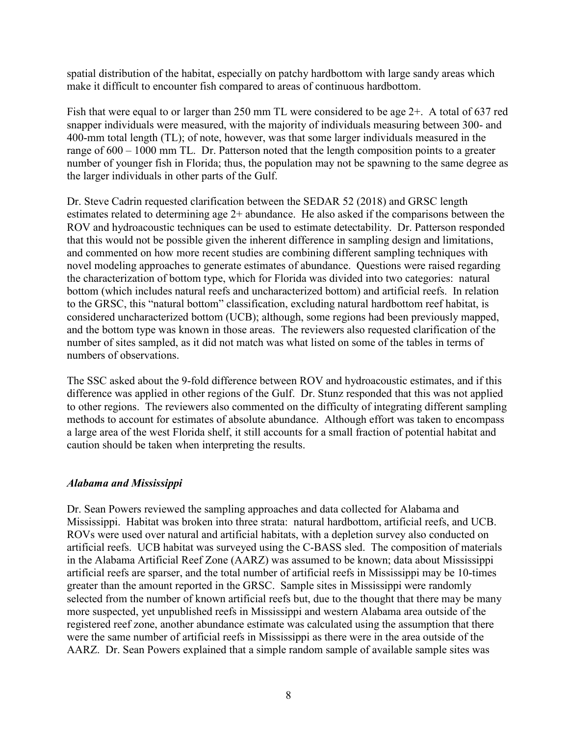spatial distribution of the habitat, especially on patchy hardbottom with large sandy areas which make it difficult to encounter fish compared to areas of continuous hardbottom.

Fish that were equal to or larger than 250 mm TL were considered to be age 2+. A total of 637 red snapper individuals were measured, with the majority of individuals measuring between 300- and 400-mm total length (TL); of note, however, was that some larger individuals measured in the range of 600 – 1000 mm TL. Dr. Patterson noted that the length composition points to a greater number of younger fish in Florida; thus, the population may not be spawning to the same degree as the larger individuals in other parts of the Gulf.

Dr. Steve Cadrin requested clarification between the SEDAR 52 (2018) and GRSC length estimates related to determining age 2+ abundance. He also asked if the comparisons between the ROV and hydroacoustic techniques can be used to estimate detectability. Dr. Patterson responded that this would not be possible given the inherent difference in sampling design and limitations, and commented on how more recent studies are combining different sampling techniques with novel modeling approaches to generate estimates of abundance. Questions were raised regarding the characterization of bottom type, which for Florida was divided into two categories: natural bottom (which includes natural reefs and uncharacterized bottom) and artificial reefs. In relation to the GRSC, this "natural bottom" classification, excluding natural hardbottom reef habitat, is considered uncharacterized bottom (UCB); although, some regions had been previously mapped, and the bottom type was known in those areas. The reviewers also requested clarification of the number of sites sampled, as it did not match was what listed on some of the tables in terms of numbers of observations.

The SSC asked about the 9-fold difference between ROV and hydroacoustic estimates, and if this difference was applied in other regions of the Gulf. Dr. Stunz responded that this was not applied to other regions. The reviewers also commented on the difficulty of integrating different sampling methods to account for estimates of absolute abundance. Although effort was taken to encompass a large area of the west Florida shelf, it still accounts for a small fraction of potential habitat and caution should be taken when interpreting the results.

## *Alabama and Mississippi*

Dr. Sean Powers reviewed the sampling approaches and data collected for Alabama and Mississippi. Habitat was broken into three strata: natural hardbottom, artificial reefs, and UCB. ROVs were used over natural and artificial habitats, with a depletion survey also conducted on artificial reefs. UCB habitat was surveyed using the C-BASS sled. The composition of materials in the Alabama Artificial Reef Zone (AARZ) was assumed to be known; data about Mississippi artificial reefs are sparser, and the total number of artificial reefs in Mississippi may be 10-times greater than the amount reported in the GRSC. Sample sites in Mississippi were randomly selected from the number of known artificial reefs but, due to the thought that there may be many more suspected, yet unpublished reefs in Mississippi and western Alabama area outside of the registered reef zone, another abundance estimate was calculated using the assumption that there were the same number of artificial reefs in Mississippi as there were in the area outside of the AARZ. Dr. Sean Powers explained that a simple random sample of available sample sites was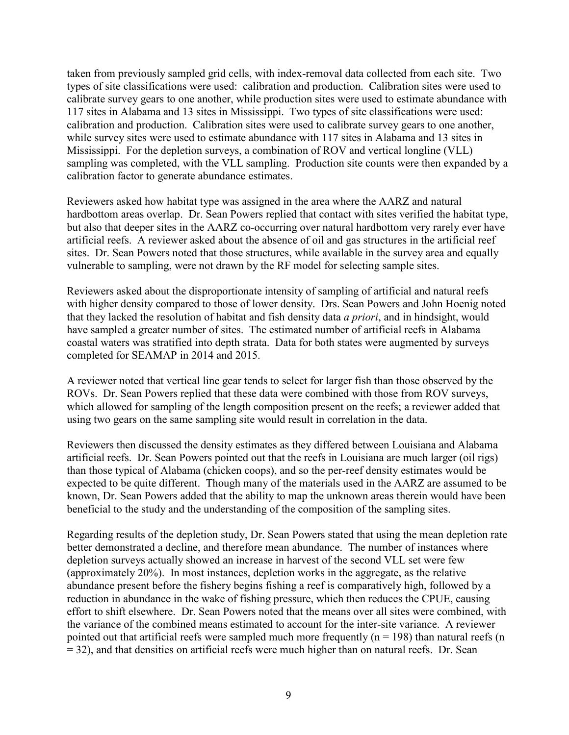taken from previously sampled grid cells, with index-removal data collected from each site. Two types of site classifications were used: calibration and production. Calibration sites were used to calibrate survey gears to one another, while production sites were used to estimate abundance with 117 sites in Alabama and 13 sites in Mississippi. Two types of site classifications were used: calibration and production. Calibration sites were used to calibrate survey gears to one another, while survey sites were used to estimate abundance with 117 sites in Alabama and 13 sites in Mississippi. For the depletion surveys, a combination of ROV and vertical longline (VLL) sampling was completed, with the VLL sampling. Production site counts were then expanded by a calibration factor to generate abundance estimates.

Reviewers asked how habitat type was assigned in the area where the AARZ and natural hardbottom areas overlap. Dr. Sean Powers replied that contact with sites verified the habitat type, but also that deeper sites in the AARZ co-occurring over natural hardbottom very rarely ever have artificial reefs. A reviewer asked about the absence of oil and gas structures in the artificial reef sites. Dr. Sean Powers noted that those structures, while available in the survey area and equally vulnerable to sampling, were not drawn by the RF model for selecting sample sites.

Reviewers asked about the disproportionate intensity of sampling of artificial and natural reefs with higher density compared to those of lower density. Drs. Sean Powers and John Hoenig noted that they lacked the resolution of habitat and fish density data *a priori*, and in hindsight, would have sampled a greater number of sites. The estimated number of artificial reefs in Alabama coastal waters was stratified into depth strata. Data for both states were augmented by surveys completed for SEAMAP in 2014 and 2015.

A reviewer noted that vertical line gear tends to select for larger fish than those observed by the ROVs. Dr. Sean Powers replied that these data were combined with those from ROV surveys, which allowed for sampling of the length composition present on the reefs; a reviewer added that using two gears on the same sampling site would result in correlation in the data.

Reviewers then discussed the density estimates as they differed between Louisiana and Alabama artificial reefs. Dr. Sean Powers pointed out that the reefs in Louisiana are much larger (oil rigs) than those typical of Alabama (chicken coops), and so the per-reef density estimates would be expected to be quite different. Though many of the materials used in the AARZ are assumed to be known, Dr. Sean Powers added that the ability to map the unknown areas therein would have been beneficial to the study and the understanding of the composition of the sampling sites.

Regarding results of the depletion study, Dr. Sean Powers stated that using the mean depletion rate better demonstrated a decline, and therefore mean abundance. The number of instances where depletion surveys actually showed an increase in harvest of the second VLL set were few (approximately 20%). In most instances, depletion works in the aggregate, as the relative abundance present before the fishery begins fishing a reef is comparatively high, followed by a reduction in abundance in the wake of fishing pressure, which then reduces the CPUE, causing effort to shift elsewhere. Dr. Sean Powers noted that the means over all sites were combined, with the variance of the combined means estimated to account for the inter-site variance. A reviewer pointed out that artificial reefs were sampled much more frequently ( $n = 198$ ) than natural reefs (n  $= 32$ ), and that densities on artificial reefs were much higher than on natural reefs. Dr. Sean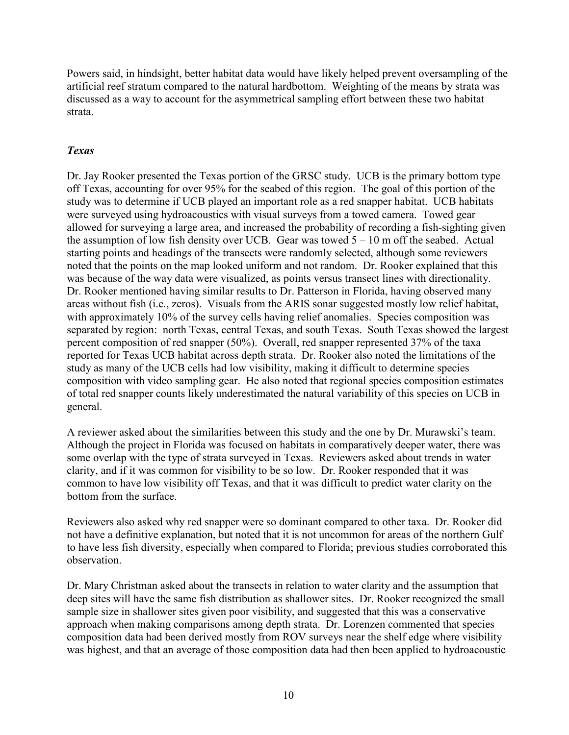Powers said, in hindsight, better habitat data would have likely helped prevent oversampling of the artificial reef stratum compared to the natural hardbottom. Weighting of the means by strata was discussed as a way to account for the asymmetrical sampling effort between these two habitat strata.

## *Texas*

Dr. Jay Rooker presented the Texas portion of the GRSC study. UCB is the primary bottom type off Texas, accounting for over 95% for the seabed of this region. The goal of this portion of the study was to determine if UCB played an important role as a red snapper habitat. UCB habitats were surveyed using hydroacoustics with visual surveys from a towed camera. Towed gear allowed for surveying a large area, and increased the probability of recording a fish-sighting given the assumption of low fish density over UCB. Gear was towed  $5 - 10$  m off the seabed. Actual starting points and headings of the transects were randomly selected, although some reviewers noted that the points on the map looked uniform and not random. Dr. Rooker explained that this was because of the way data were visualized, as points versus transect lines with directionality. Dr. Rooker mentioned having similar results to Dr. Patterson in Florida, having observed many areas without fish (i.e., zeros). Visuals from the ARIS sonar suggested mostly low relief habitat, with approximately 10% of the survey cells having relief anomalies. Species composition was separated by region: north Texas, central Texas, and south Texas. South Texas showed the largest percent composition of red snapper (50%). Overall, red snapper represented 37% of the taxa reported for Texas UCB habitat across depth strata. Dr. Rooker also noted the limitations of the study as many of the UCB cells had low visibility, making it difficult to determine species composition with video sampling gear. He also noted that regional species composition estimates of total red snapper counts likely underestimated the natural variability of this species on UCB in general.

A reviewer asked about the similarities between this study and the one by Dr. Murawski's team. Although the project in Florida was focused on habitats in comparatively deeper water, there was some overlap with the type of strata surveyed in Texas. Reviewers asked about trends in water clarity, and if it was common for visibility to be so low. Dr. Rooker responded that it was common to have low visibility off Texas, and that it was difficult to predict water clarity on the bottom from the surface.

Reviewers also asked why red snapper were so dominant compared to other taxa. Dr. Rooker did not have a definitive explanation, but noted that it is not uncommon for areas of the northern Gulf to have less fish diversity, especially when compared to Florida; previous studies corroborated this observation.

Dr. Mary Christman asked about the transects in relation to water clarity and the assumption that deep sites will have the same fish distribution as shallower sites. Dr. Rooker recognized the small sample size in shallower sites given poor visibility, and suggested that this was a conservative approach when making comparisons among depth strata. Dr. Lorenzen commented that species composition data had been derived mostly from ROV surveys near the shelf edge where visibility was highest, and that an average of those composition data had then been applied to hydroacoustic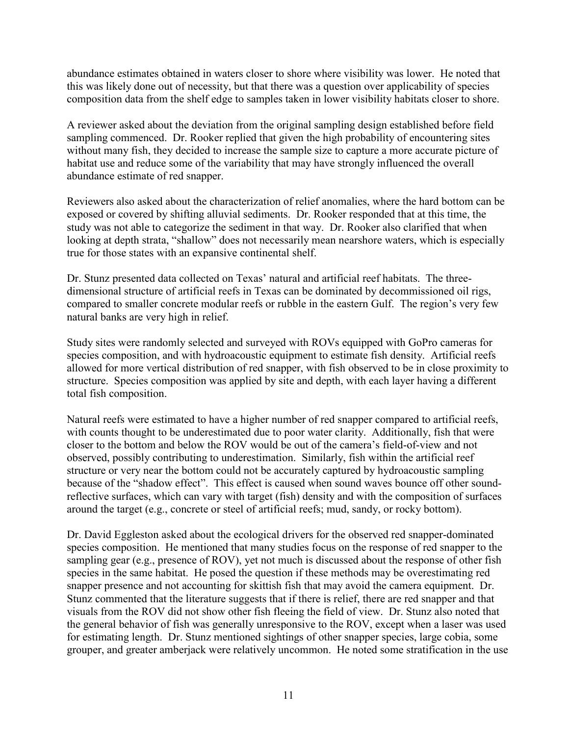abundance estimates obtained in waters closer to shore where visibility was lower. He noted that this was likely done out of necessity, but that there was a question over applicability of species composition data from the shelf edge to samples taken in lower visibility habitats closer to shore.

A reviewer asked about the deviation from the original sampling design established before field sampling commenced. Dr. Rooker replied that given the high probability of encountering sites without many fish, they decided to increase the sample size to capture a more accurate picture of habitat use and reduce some of the variability that may have strongly influenced the overall abundance estimate of red snapper.

Reviewers also asked about the characterization of relief anomalies, where the hard bottom can be exposed or covered by shifting alluvial sediments. Dr. Rooker responded that at this time, the study was not able to categorize the sediment in that way. Dr. Rooker also clarified that when looking at depth strata, "shallow" does not necessarily mean nearshore waters, which is especially true for those states with an expansive continental shelf.

Dr. Stunz presented data collected on Texas' natural and artificial reef habitats. The threedimensional structure of artificial reefs in Texas can be dominated by decommissioned oil rigs, compared to smaller concrete modular reefs or rubble in the eastern Gulf. The region's very few natural banks are very high in relief.

Study sites were randomly selected and surveyed with ROVs equipped with GoPro cameras for species composition, and with hydroacoustic equipment to estimate fish density. Artificial reefs allowed for more vertical distribution of red snapper, with fish observed to be in close proximity to structure. Species composition was applied by site and depth, with each layer having a different total fish composition.

Natural reefs were estimated to have a higher number of red snapper compared to artificial reefs, with counts thought to be underestimated due to poor water clarity. Additionally, fish that were closer to the bottom and below the ROV would be out of the camera's field-of-view and not observed, possibly contributing to underestimation. Similarly, fish within the artificial reef structure or very near the bottom could not be accurately captured by hydroacoustic sampling because of the "shadow effect". This effect is caused when sound waves bounce off other soundreflective surfaces, which can vary with target (fish) density and with the composition of surfaces around the target (e.g., concrete or steel of artificial reefs; mud, sandy, or rocky bottom).

Dr. David Eggleston asked about the ecological drivers for the observed red snapper-dominated species composition. He mentioned that many studies focus on the response of red snapper to the sampling gear (e.g., presence of ROV), yet not much is discussed about the response of other fish species in the same habitat. He posed the question if these methods may be overestimating red snapper presence and not accounting for skittish fish that may avoid the camera equipment. Dr. Stunz commented that the literature suggests that if there is relief, there are red snapper and that visuals from the ROV did not show other fish fleeing the field of view. Dr. Stunz also noted that the general behavior of fish was generally unresponsive to the ROV, except when a laser was used for estimating length. Dr. Stunz mentioned sightings of other snapper species, large cobia, some grouper, and greater amberjack were relatively uncommon. He noted some stratification in the use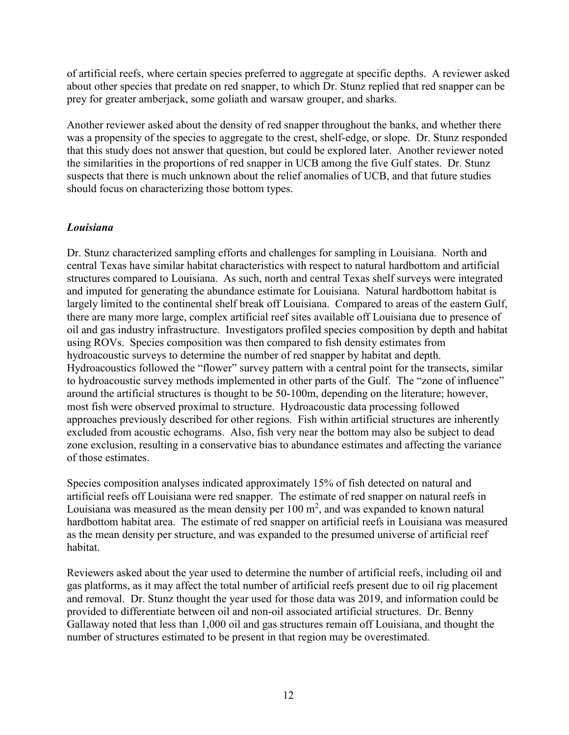of artificial reefs, where certain species preferred to aggregate at specific depths. A reviewer asked about other species that predate on red snapper, to which Dr. Stunz replied that red snapper can be prey for greater amberjack, some goliath and warsaw grouper, and sharks.

Another reviewer asked about the density of red snapper throughout the banks, and whether there was a propensity of the species to aggregate to the crest, shelf-edge, or slope. Dr. Stunz responded that this study does not answer that question, but could be explored later. Another reviewer noted the similarities in the proportions of red snapper in UCB among the five Gulf states. Dr. Stunz suspects that there is much unknown about the relief anomalies of UCB, and that future studies should focus on characterizing those bottom types.

## *Louisiana*

Dr. Stunz characterized sampling efforts and challenges for sampling in Louisiana. North and central Texas have similar habitat characteristics with respect to natural hardbottom and artificial structures compared to Louisiana. As such, north and central Texas shelf surveys were integrated and imputed for generating the abundance estimate for Louisiana. Natural hardbottom habitat is largely limited to the continental shelf break off Louisiana. Compared to areas of the eastern Gulf, there are many more large, complex artificial reef sites available off Louisiana due to presence of oil and gas industry infrastructure. Investigators profiled species composition by depth and habitat using ROVs. Species composition was then compared to fish density estimates from hydroacoustic surveys to determine the number of red snapper by habitat and depth. Hydroacoustics followed the "flower" survey pattern with a central point for the transects, similar to hydroacoustic survey methods implemented in other parts of the Gulf. The "zone of influence" around the artificial structures is thought to be 50-100m, depending on the literature; however, most fish were observed proximal to structure. Hydroacoustic data processing followed approaches previously described for other regions. Fish within artificial structures are inherently excluded from acoustic echograms. Also, fish very near the bottom may also be subject to dead zone exclusion, resulting in a conservative bias to abundance estimates and affecting the variance of those estimates.

Species composition analyses indicated approximately 15% of fish detected on natural and artificial reefs off Louisiana were red snapper. The estimate of red snapper on natural reefs in Louisiana was measured as the mean density per  $100 \text{ m}^2$ , and was expanded to known natural hardbottom habitat area. The estimate of red snapper on artificial reefs in Louisiana was measured as the mean density per structure, and was expanded to the presumed universe of artificial reef habitat.

Reviewers asked about the year used to determine the number of artificial reefs, including oil and gas platforms, as it may affect the total number of artificial reefs present due to oil rig placement and removal. Dr. Stunz thought the year used for those data was 2019, and information could be provided to differentiate between oil and non-oil associated artificial structures. Dr. Benny Gallaway noted that less than 1,000 oil and gas structures remain off Louisiana, and thought the number of structures estimated to be present in that region may be overestimated.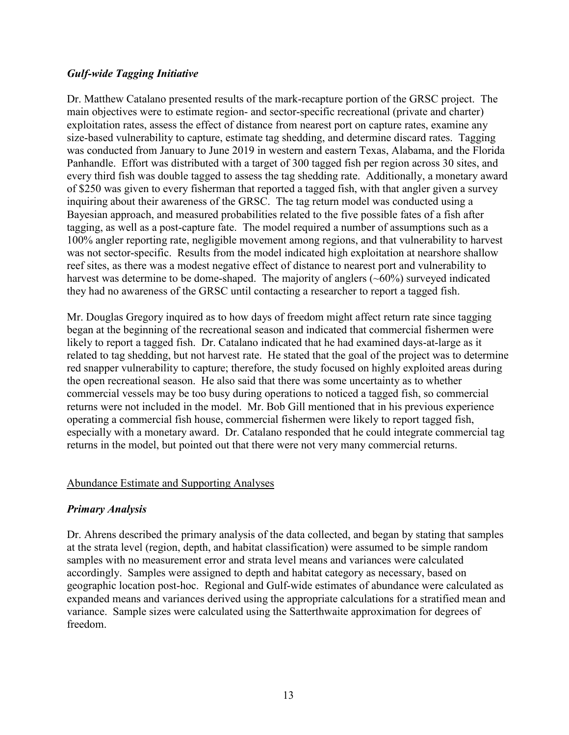#### *Gulf-wide Tagging Initiative*

Dr. Matthew Catalano presented results of the mark-recapture portion of the GRSC project. The main objectives were to estimate region- and sector-specific recreational (private and charter) exploitation rates, assess the effect of distance from nearest port on capture rates, examine any size-based vulnerability to capture, estimate tag shedding, and determine discard rates. Tagging was conducted from January to June 2019 in western and eastern Texas, Alabama, and the Florida Panhandle. Effort was distributed with a target of 300 tagged fish per region across 30 sites, and every third fish was double tagged to assess the tag shedding rate. Additionally, a monetary award of \$250 was given to every fisherman that reported a tagged fish, with that angler given a survey inquiring about their awareness of the GRSC. The tag return model was conducted using a Bayesian approach, and measured probabilities related to the five possible fates of a fish after tagging, as well as a post-capture fate. The model required a number of assumptions such as a 100% angler reporting rate, negligible movement among regions, and that vulnerability to harvest was not sector-specific. Results from the model indicated high exploitation at nearshore shallow reef sites, as there was a modest negative effect of distance to nearest port and vulnerability to harvest was determine to be dome-shaped. The majority of anglers  $(\sim 60\%)$  surveyed indicated they had no awareness of the GRSC until contacting a researcher to report a tagged fish.

Mr. Douglas Gregory inquired as to how days of freedom might affect return rate since tagging began at the beginning of the recreational season and indicated that commercial fishermen were likely to report a tagged fish. Dr. Catalano indicated that he had examined days-at-large as it related to tag shedding, but not harvest rate. He stated that the goal of the project was to determine red snapper vulnerability to capture; therefore, the study focused on highly exploited areas during the open recreational season. He also said that there was some uncertainty as to whether commercial vessels may be too busy during operations to noticed a tagged fish, so commercial returns were not included in the model. Mr. Bob Gill mentioned that in his previous experience operating a commercial fish house, commercial fishermen were likely to report tagged fish, especially with a monetary award. Dr. Catalano responded that he could integrate commercial tag returns in the model, but pointed out that there were not very many commercial returns.

#### Abundance Estimate and Supporting Analyses

#### *Primary Analysis*

Dr. Ahrens described the primary analysis of the data collected, and began by stating that samples at the strata level (region, depth, and habitat classification) were assumed to be simple random samples with no measurement error and strata level means and variances were calculated accordingly. Samples were assigned to depth and habitat category as necessary, based on geographic location post-hoc. Regional and Gulf-wide estimates of abundance were calculated as expanded means and variances derived using the appropriate calculations for a stratified mean and variance. Sample sizes were calculated using the Satterthwaite approximation for degrees of freedom.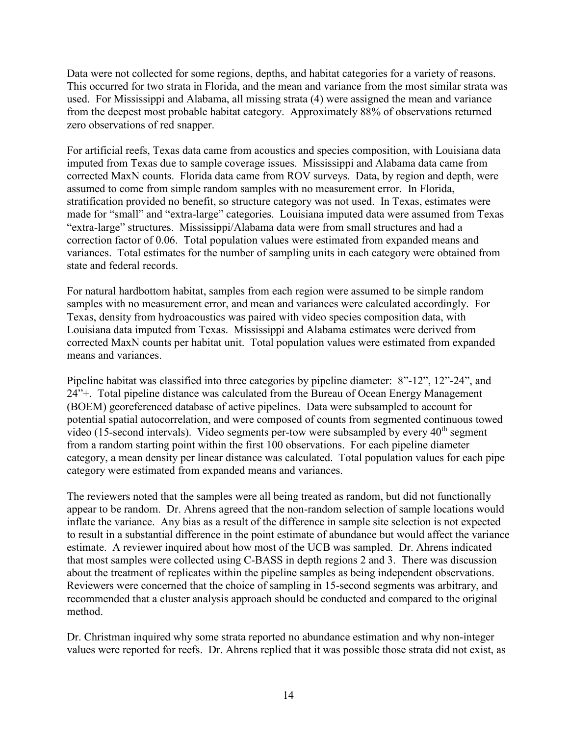Data were not collected for some regions, depths, and habitat categories for a variety of reasons. This occurred for two strata in Florida, and the mean and variance from the most similar strata was used. For Mississippi and Alabama, all missing strata (4) were assigned the mean and variance from the deepest most probable habitat category. Approximately 88% of observations returned zero observations of red snapper.

For artificial reefs, Texas data came from acoustics and species composition, with Louisiana data imputed from Texas due to sample coverage issues. Mississippi and Alabama data came from corrected MaxN counts. Florida data came from ROV surveys. Data, by region and depth, were assumed to come from simple random samples with no measurement error. In Florida, stratification provided no benefit, so structure category was not used. In Texas, estimates were made for "small" and "extra-large" categories. Louisiana imputed data were assumed from Texas "extra-large" structures. Mississippi/Alabama data were from small structures and had a correction factor of 0.06. Total population values were estimated from expanded means and variances. Total estimates for the number of sampling units in each category were obtained from state and federal records.

For natural hardbottom habitat, samples from each region were assumed to be simple random samples with no measurement error, and mean and variances were calculated accordingly. For Texas, density from hydroacoustics was paired with video species composition data, with Louisiana data imputed from Texas. Mississippi and Alabama estimates were derived from corrected MaxN counts per habitat unit. Total population values were estimated from expanded means and variances.

Pipeline habitat was classified into three categories by pipeline diameter: 8"-12", 12"-24", and 24"+. Total pipeline distance was calculated from the Bureau of Ocean Energy Management (BOEM) georeferenced database of active pipelines. Data were subsampled to account for potential spatial autocorrelation, and were composed of counts from segmented continuous towed video (15-second intervals). Video segments per-tow were subsampled by every  $40<sup>th</sup>$  segment from a random starting point within the first 100 observations. For each pipeline diameter category, a mean density per linear distance was calculated. Total population values for each pipe category were estimated from expanded means and variances.

The reviewers noted that the samples were all being treated as random, but did not functionally appear to be random. Dr. Ahrens agreed that the non-random selection of sample locations would inflate the variance. Any bias as a result of the difference in sample site selection is not expected to result in a substantial difference in the point estimate of abundance but would affect the variance estimate. A reviewer inquired about how most of the UCB was sampled. Dr. Ahrens indicated that most samples were collected using C-BASS in depth regions 2 and 3. There was discussion about the treatment of replicates within the pipeline samples as being independent observations. Reviewers were concerned that the choice of sampling in 15-second segments was arbitrary, and recommended that a cluster analysis approach should be conducted and compared to the original method.

Dr. Christman inquired why some strata reported no abundance estimation and why non-integer values were reported for reefs. Dr. Ahrens replied that it was possible those strata did not exist, as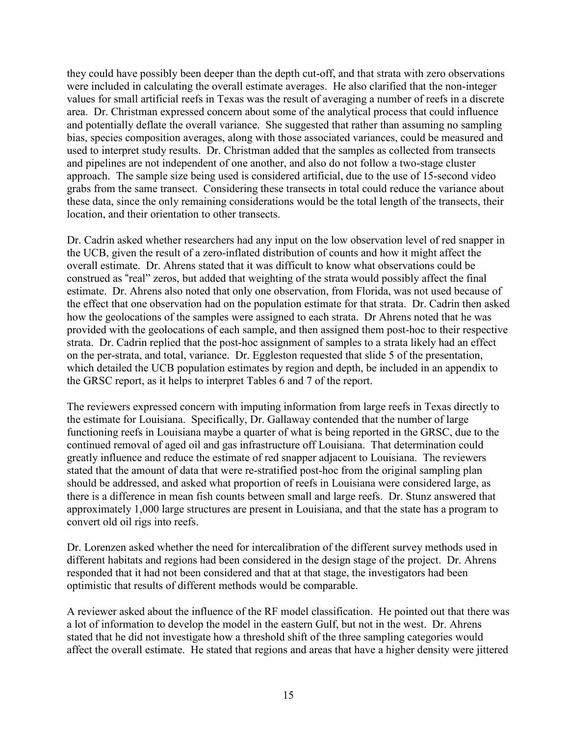they could have possibly been deeper than the depth cut-off, and that strata with zero observations were included in calculating the overall estimate averages. He also clarified that the non-integer values for small artificial reefs in Texas was the result of averaging a number of reefs in a discrete area. Dr. Christman expressed concern about some of the analytical process that could influence and potentially deflate the overall variance. She suggested that rather than assuming no sampling bias, species composition averages, along with those associated variances, could be measured and used to interpret study results. Dr. Christman added that the samples as collected from transects and pipelines are not independent of one another, and also do not follow a two-stage cluster approach. The sample size being used is considered artificial, due to the use of 15-second video grabs from the same transect. Considering these transects in total could reduce the variance about these data, since the only remaining considerations would be the total length of the transects, their location, and their orientation to other transects.

Dr. Cadrin asked whether researchers had any input on the low observation level of red snapper in the UCB, given the result of a zero-inflated distribution of counts and how it might affect the overall estimate. Dr. Ahrens stated that it was difficult to know what observations could be construed as "real" zeros, but added that weighting of the strata would possibly affect the final estimate. Dr. Ahrens also noted that only one observation, from Florida, was not used because of the effect that one observation had on the population estimate for that strata. Dr. Cadrin then asked how the geolocations of the samples were assigned to each strata. Dr Ahrens noted that he was provided with the geolocations of each sample, and then assigned them post-hoc to their respective strata. Dr. Cadrin replied that the post-hoc assignment of samples to a strata likely had an effect on the per-strata, and total, variance. Dr. Eggleston requested that slide 5 of the presentation, which detailed the UCB population estimates by region and depth, be included in an appendix to the GRSC report, as it helps to interpret Tables 6 and 7 of the report.

The reviewers expressed concern with imputing information from large reefs in Texas directly to the estimate for Louisiana. Specifically, Dr. Gallaway contended that the number of large functioning reefs in Louisiana maybe a quarter of what is being reported in the GRSC, due to the continued removal of aged oil and gas infrastructure off Louisiana. That determination could greatly influence and reduce the estimate of red snapper adjacent to Louisiana. The reviewers stated that the amount of data that were re-stratified post-hoc from the original sampling plan should be addressed, and asked what proportion of reefs in Louisiana were considered large, as there is a difference in mean fish counts between small and large reefs. Dr. Stunz answered that approximately 1,000 large structures are present in Louisiana, and that the state has a program to convert old oil rigs into reefs.

Dr. Lorenzen asked whether the need for intercalibration of the different survey methods used in different habitats and regions had been considered in the design stage of the project. Dr. Ahrens responded that it had not been considered and that at that stage, the investigators had been optimistic that results of different methods would be comparable.

A reviewer asked about the influence of the RF model classification. He pointed out that there was a lot of information to develop the model in the eastern Gulf, but not in the west. Dr. Ahrens stated that he did not investigate how a threshold shift of the three sampling categories would affect the overall estimate. He stated that regions and areas that have a higher density were jittered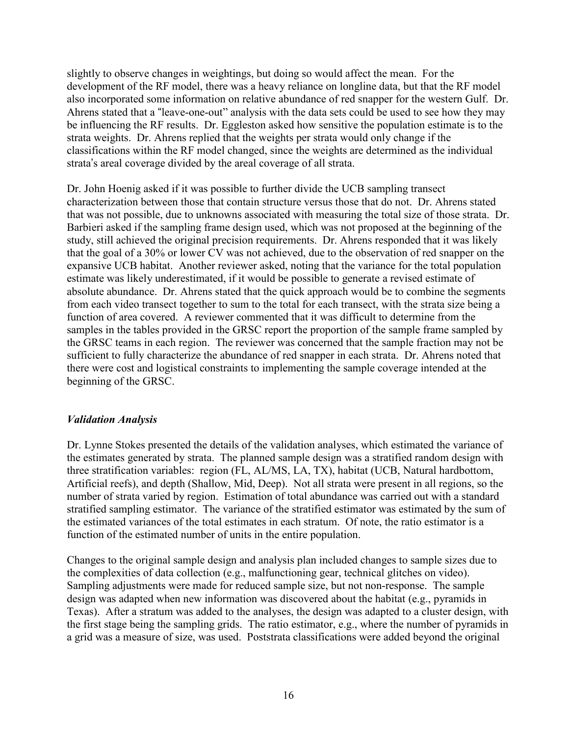slightly to observe changes in weightings, but doing so would affect the mean. For the development of the RF model, there was a heavy reliance on longline data, but that the RF model also incorporated some information on relative abundance of red snapper for the western Gulf. Dr. Ahrens stated that a "leave-one-out" analysis with the data sets could be used to see how they may be influencing the RF results. Dr. Eggleston asked how sensitive the population estimate is to the strata weights. Dr. Ahrens replied that the weights per strata would only change if the classifications within the RF model changed, since the weights are determined as the individual strata's areal coverage divided by the areal coverage of all strata.

Dr. John Hoenig asked if it was possible to further divide the UCB sampling transect characterization between those that contain structure versus those that do not. Dr. Ahrens stated that was not possible, due to unknowns associated with measuring the total size of those strata. Dr. Barbieri asked if the sampling frame design used, which was not proposed at the beginning of the study, still achieved the original precision requirements. Dr. Ahrens responded that it was likely that the goal of a 30% or lower CV was not achieved, due to the observation of red snapper on the expansive UCB habitat. Another reviewer asked, noting that the variance for the total population estimate was likely underestimated, if it would be possible to generate a revised estimate of absolute abundance. Dr. Ahrens stated that the quick approach would be to combine the segments from each video transect together to sum to the total for each transect, with the strata size being a function of area covered. A reviewer commented that it was difficult to determine from the samples in the tables provided in the GRSC report the proportion of the sample frame sampled by the GRSC teams in each region. The reviewer was concerned that the sample fraction may not be sufficient to fully characterize the abundance of red snapper in each strata. Dr. Ahrens noted that there were cost and logistical constraints to implementing the sample coverage intended at the beginning of the GRSC.

#### *Validation Analysis*

Dr. Lynne Stokes presented the details of the validation analyses, which estimated the variance of the estimates generated by strata. The planned sample design was a stratified random design with three stratification variables: region (FL, AL/MS, LA, TX), habitat (UCB, Natural hardbottom, Artificial reefs), and depth (Shallow, Mid, Deep). Not all strata were present in all regions, so the number of strata varied by region. Estimation of total abundance was carried out with a standard stratified sampling estimator. The variance of the stratified estimator was estimated by the sum of the estimated variances of the total estimates in each stratum. Of note, the ratio estimator is a function of the estimated number of units in the entire population.

Changes to the original sample design and analysis plan included changes to sample sizes due to the complexities of data collection (e.g., malfunctioning gear, technical glitches on video). Sampling adjustments were made for reduced sample size, but not non-response. The sample design was adapted when new information was discovered about the habitat (e.g., pyramids in Texas). After a stratum was added to the analyses, the design was adapted to a cluster design, with the first stage being the sampling grids. The ratio estimator, e.g., where the number of pyramids in a grid was a measure of size, was used. Poststrata classifications were added beyond the original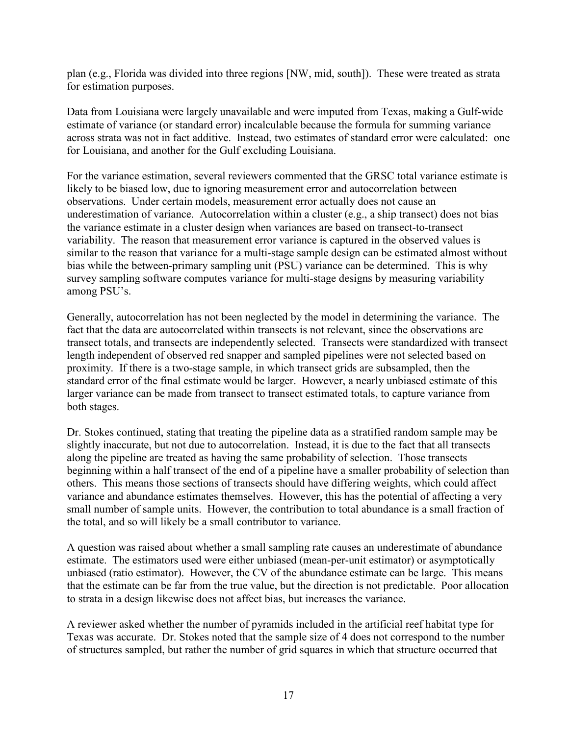plan (e.g., Florida was divided into three regions [NW, mid, south]). These were treated as strata for estimation purposes.

Data from Louisiana were largely unavailable and were imputed from Texas, making a Gulf-wide estimate of variance (or standard error) incalculable because the formula for summing variance across strata was not in fact additive. Instead, two estimates of standard error were calculated: one for Louisiana, and another for the Gulf excluding Louisiana.

For the variance estimation, several reviewers commented that the GRSC total variance estimate is likely to be biased low, due to ignoring measurement error and autocorrelation between observations. Under certain models, measurement error actually does not cause an underestimation of variance. Autocorrelation within a cluster (e.g., a ship transect) does not bias the variance estimate in a cluster design when variances are based on transect-to-transect variability. The reason that measurement error variance is captured in the observed values is similar to the reason that variance for a multi-stage sample design can be estimated almost without bias while the between-primary sampling unit (PSU) variance can be determined. This is why survey sampling software computes variance for multi-stage designs by measuring variability among PSU's.

Generally, autocorrelation has not been neglected by the model in determining the variance. The fact that the data are autocorrelated within transects is not relevant, since the observations are transect totals, and transects are independently selected. Transects were standardized with transect length independent of observed red snapper and sampled pipelines were not selected based on proximity. If there is a two-stage sample, in which transect grids are subsampled, then the standard error of the final estimate would be larger. However, a nearly unbiased estimate of this larger variance can be made from transect to transect estimated totals, to capture variance from both stages.

Dr. Stokes continued, stating that treating the pipeline data as a stratified random sample may be slightly inaccurate, but not due to autocorrelation. Instead, it is due to the fact that all transects along the pipeline are treated as having the same probability of selection. Those transects beginning within a half transect of the end of a pipeline have a smaller probability of selection than others. This means those sections of transects should have differing weights, which could affect variance and abundance estimates themselves. However, this has the potential of affecting a very small number of sample units. However, the contribution to total abundance is a small fraction of the total, and so will likely be a small contributor to variance.

A question was raised about whether a small sampling rate causes an underestimate of abundance estimate. The estimators used were either unbiased (mean-per-unit estimator) or asymptotically unbiased (ratio estimator). However, the CV of the abundance estimate can be large. This means that the estimate can be far from the true value, but the direction is not predictable. Poor allocation to strata in a design likewise does not affect bias, but increases the variance.

A reviewer asked whether the number of pyramids included in the artificial reef habitat type for Texas was accurate. Dr. Stokes noted that the sample size of 4 does not correspond to the number of structures sampled, but rather the number of grid squares in which that structure occurred that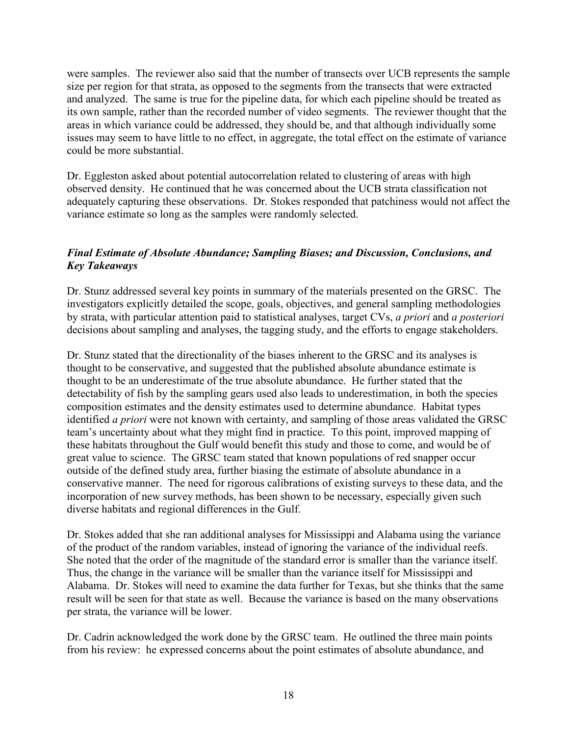were samples. The reviewer also said that the number of transects over UCB represents the sample size per region for that strata, as opposed to the segments from the transects that were extracted and analyzed. The same is true for the pipeline data, for which each pipeline should be treated as its own sample, rather than the recorded number of video segments. The reviewer thought that the areas in which variance could be addressed, they should be, and that although individually some issues may seem to have little to no effect, in aggregate, the total effect on the estimate of variance could be more substantial.

Dr. Eggleston asked about potential autocorrelation related to clustering of areas with high observed density. He continued that he was concerned about the UCB strata classification not adequately capturing these observations. Dr. Stokes responded that patchiness would not affect the variance estimate so long as the samples were randomly selected.

## *Final Estimate of Absolute Abundance; Sampling Biases; and Discussion, Conclusions, and Key Takeaways*

Dr. Stunz addressed several key points in summary of the materials presented on the GRSC. The investigators explicitly detailed the scope, goals, objectives, and general sampling methodologies by strata, with particular attention paid to statistical analyses, target CVs, *a priori* and *a posteriori* decisions about sampling and analyses, the tagging study, and the efforts to engage stakeholders.

Dr. Stunz stated that the directionality of the biases inherent to the GRSC and its analyses is thought to be conservative, and suggested that the published absolute abundance estimate is thought to be an underestimate of the true absolute abundance. He further stated that the detectability of fish by the sampling gears used also leads to underestimation, in both the species composition estimates and the density estimates used to determine abundance. Habitat types identified *a priori* were not known with certainty, and sampling of those areas validated the GRSC team's uncertainty about what they might find in practice. To this point, improved mapping of these habitats throughout the Gulf would benefit this study and those to come, and would be of great value to science. The GRSC team stated that known populations of red snapper occur outside of the defined study area, further biasing the estimate of absolute abundance in a conservative manner. The need for rigorous calibrations of existing surveys to these data, and the incorporation of new survey methods, has been shown to be necessary, especially given such diverse habitats and regional differences in the Gulf.

Dr. Stokes added that she ran additional analyses for Mississippi and Alabama using the variance of the product of the random variables, instead of ignoring the variance of the individual reefs. She noted that the order of the magnitude of the standard error is smaller than the variance itself. Thus, the change in the variance will be smaller than the variance itself for Mississippi and Alabama. Dr. Stokes will need to examine the data further for Texas, but she thinks that the same result will be seen for that state as well. Because the variance is based on the many observations per strata, the variance will be lower.

Dr. Cadrin acknowledged the work done by the GRSC team. He outlined the three main points from his review: he expressed concerns about the point estimates of absolute abundance, and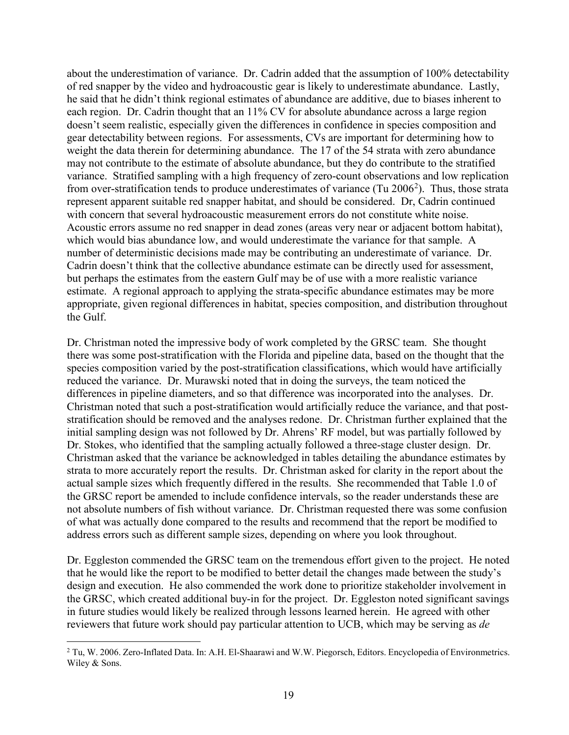about the underestimation of variance. Dr. Cadrin added that the assumption of 100% detectability of red snapper by the video and hydroacoustic gear is likely to underestimate abundance. Lastly, he said that he didn't think regional estimates of abundance are additive, due to biases inherent to each region. Dr. Cadrin thought that an 11% CV for absolute abundance across a large region doesn't seem realistic, especially given the differences in confidence in species composition and gear detectability between regions. For assessments, CVs are important for determining how to weight the data therein for determining abundance. The 17 of the 54 strata with zero abundance may not contribute to the estimate of absolute abundance, but they do contribute to the stratified variance. Stratified sampling with a high frequency of zero-count observations and low replication from over-stratification tends to produce underestimates of variance (Tu [2](#page-18-0)006<sup>2</sup>). Thus, those strata represent apparent suitable red snapper habitat, and should be considered. Dr, Cadrin continued with concern that several hydroacoustic measurement errors do not constitute white noise. Acoustic errors assume no red snapper in dead zones (areas very near or adjacent bottom habitat), which would bias abundance low, and would underestimate the variance for that sample. A number of deterministic decisions made may be contributing an underestimate of variance. Dr. Cadrin doesn't think that the collective abundance estimate can be directly used for assessment, but perhaps the estimates from the eastern Gulf may be of use with a more realistic variance estimate. A regional approach to applying the strata-specific abundance estimates may be more appropriate, given regional differences in habitat, species composition, and distribution throughout the Gulf.

Dr. Christman noted the impressive body of work completed by the GRSC team. She thought there was some post-stratification with the Florida and pipeline data, based on the thought that the species composition varied by the post-stratification classifications, which would have artificially reduced the variance. Dr. Murawski noted that in doing the surveys, the team noticed the differences in pipeline diameters, and so that difference was incorporated into the analyses. Dr. Christman noted that such a post-stratification would artificially reduce the variance, and that poststratification should be removed and the analyses redone. Dr. Christman further explained that the initial sampling design was not followed by Dr. Ahrens' RF model, but was partially followed by Dr. Stokes, who identified that the sampling actually followed a three-stage cluster design. Dr. Christman asked that the variance be acknowledged in tables detailing the abundance estimates by strata to more accurately report the results. Dr. Christman asked for clarity in the report about the actual sample sizes which frequently differed in the results. She recommended that Table 1.0 of the GRSC report be amended to include confidence intervals, so the reader understands these are not absolute numbers of fish without variance. Dr. Christman requested there was some confusion of what was actually done compared to the results and recommend that the report be modified to address errors such as different sample sizes, depending on where you look throughout.

Dr. Eggleston commended the GRSC team on the tremendous effort given to the project. He noted that he would like the report to be modified to better detail the changes made between the study's design and execution. He also commended the work done to prioritize stakeholder involvement in the GRSC, which created additional buy-in for the project. Dr. Eggleston noted significant savings in future studies would likely be realized through lessons learned herein. He agreed with other reviewers that future work should pay particular attention to UCB, which may be serving as *de*

<span id="page-18-0"></span> <sup>2</sup> Tu, W. 2006. Zero-Inflated Data. In: A.H. El-Shaarawi and W.W. Piegorsch, Editors. Encyclopedia of Environmetrics. Wiley & Sons.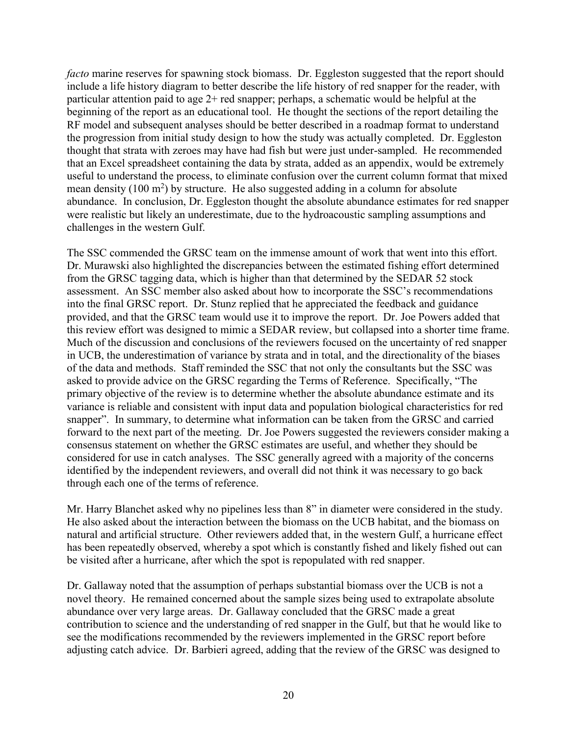*facto* marine reserves for spawning stock biomass. Dr. Eggleston suggested that the report should include a life history diagram to better describe the life history of red snapper for the reader, with particular attention paid to age 2+ red snapper; perhaps, a schematic would be helpful at the beginning of the report as an educational tool. He thought the sections of the report detailing the RF model and subsequent analyses should be better described in a roadmap format to understand the progression from initial study design to how the study was actually completed. Dr. Eggleston thought that strata with zeroes may have had fish but were just under-sampled. He recommended that an Excel spreadsheet containing the data by strata, added as an appendix, would be extremely useful to understand the process, to eliminate confusion over the current column format that mixed mean density (100 m<sup>2</sup>) by structure. He also suggested adding in a column for absolute abundance. In conclusion, Dr. Eggleston thought the absolute abundance estimates for red snapper were realistic but likely an underestimate, due to the hydroacoustic sampling assumptions and challenges in the western Gulf.

The SSC commended the GRSC team on the immense amount of work that went into this effort. Dr. Murawski also highlighted the discrepancies between the estimated fishing effort determined from the GRSC tagging data, which is higher than that determined by the SEDAR 52 stock assessment. An SSC member also asked about how to incorporate the SSC's recommendations into the final GRSC report. Dr. Stunz replied that he appreciated the feedback and guidance provided, and that the GRSC team would use it to improve the report. Dr. Joe Powers added that this review effort was designed to mimic a SEDAR review, but collapsed into a shorter time frame. Much of the discussion and conclusions of the reviewers focused on the uncertainty of red snapper in UCB, the underestimation of variance by strata and in total, and the directionality of the biases of the data and methods. Staff reminded the SSC that not only the consultants but the SSC was asked to provide advice on the GRSC regarding the Terms of Reference. Specifically, "The primary objective of the review is to determine whether the absolute abundance estimate and its variance is reliable and consistent with input data and population biological characteristics for red snapper". In summary, to determine what information can be taken from the GRSC and carried forward to the next part of the meeting. Dr. Joe Powers suggested the reviewers consider making a consensus statement on whether the GRSC estimates are useful, and whether they should be considered for use in catch analyses. The SSC generally agreed with a majority of the concerns identified by the independent reviewers, and overall did not think it was necessary to go back through each one of the terms of reference.

Mr. Harry Blanchet asked why no pipelines less than 8" in diameter were considered in the study. He also asked about the interaction between the biomass on the UCB habitat, and the biomass on natural and artificial structure. Other reviewers added that, in the western Gulf, a hurricane effect has been repeatedly observed, whereby a spot which is constantly fished and likely fished out can be visited after a hurricane, after which the spot is repopulated with red snapper.

Dr. Gallaway noted that the assumption of perhaps substantial biomass over the UCB is not a novel theory. He remained concerned about the sample sizes being used to extrapolate absolute abundance over very large areas. Dr. Gallaway concluded that the GRSC made a great contribution to science and the understanding of red snapper in the Gulf, but that he would like to see the modifications recommended by the reviewers implemented in the GRSC report before adjusting catch advice. Dr. Barbieri agreed, adding that the review of the GRSC was designed to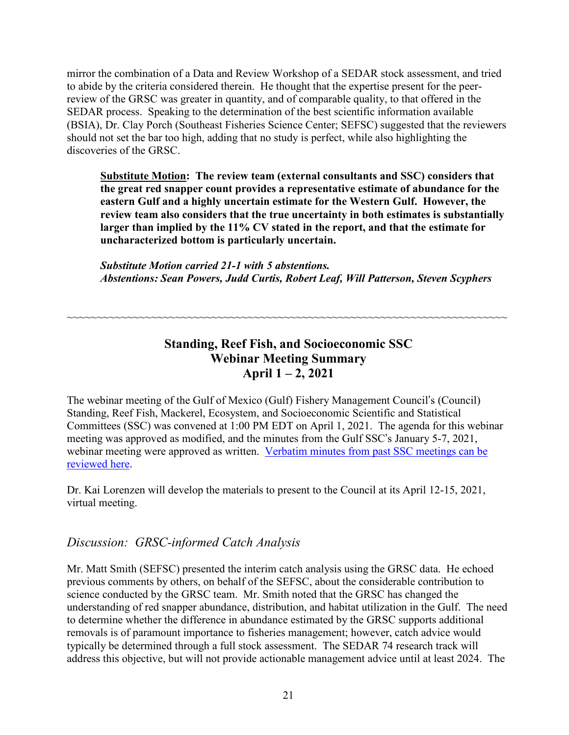mirror the combination of a Data and Review Workshop of a SEDAR stock assessment, and tried to abide by the criteria considered therein. He thought that the expertise present for the peerreview of the GRSC was greater in quantity, and of comparable quality, to that offered in the SEDAR process. Speaking to the determination of the best scientific information available (BSIA), Dr. Clay Porch (Southeast Fisheries Science Center; SEFSC) suggested that the reviewers should not set the bar too high, adding that no study is perfect, while also highlighting the discoveries of the GRSC.

**Substitute Motion: The review team (external consultants and SSC) considers that the great red snapper count provides a representative estimate of abundance for the eastern Gulf and a highly uncertain estimate for the Western Gulf. However, the review team also considers that the true uncertainty in both estimates is substantially larger than implied by the 11% CV stated in the report, and that the estimate for uncharacterized bottom is particularly uncertain.** 

*Substitute Motion carried 21-1 with 5 abstentions. Abstentions: Sean Powers, Judd Curtis, Robert Leaf, Will Patterson, Steven Scyphers*

# **Standing, Reef Fish, and Socioeconomic SSC Webinar Meeting Summary April 1 – 2, 2021**

~~~~~~~~~~~~~~~~~~~~~~~~~~~~~~~~~~~~~~~~~~~~~~~~~~~~~~~~~~~~~~~~~~~~~~~~~

The webinar meeting of the Gulf of Mexico (Gulf) Fishery Management Council's (Council) Standing, Reef Fish, Mackerel, Ecosystem, and Socioeconomic Scientific and Statistical Committees (SSC) was convened at 1:00 PM EDT on April 1, 2021. The agenda for this webinar meeting was approved as modified, and the minutes from the Gulf SSC's January 5-7, 2021, webinar meeting were approved as written. [Verbatim](https://gulfcouncil.org/meetings/ssc/archive/) minutes from past SSC meetings can be [reviewed](https://gulfcouncil.org/meetings/ssc/archive/) here.

Dr. Kai Lorenzen will develop the materials to present to the Council at its April 12-15, 2021, virtual meeting.

# *Discussion: GRSC-informed Catch Analysis*

Mr. Matt Smith (SEFSC) presented the interim catch analysis using the GRSC data. He echoed previous comments by others, on behalf of the SEFSC, about the considerable contribution to science conducted by the GRSC team. Mr. Smith noted that the GRSC has changed the understanding of red snapper abundance, distribution, and habitat utilization in the Gulf. The need to determine whether the difference in abundance estimated by the GRSC supports additional removals is of paramount importance to fisheries management; however, catch advice would typically be determined through a full stock assessment. The SEDAR 74 research track will address this objective, but will not provide actionable management advice until at least 2024. The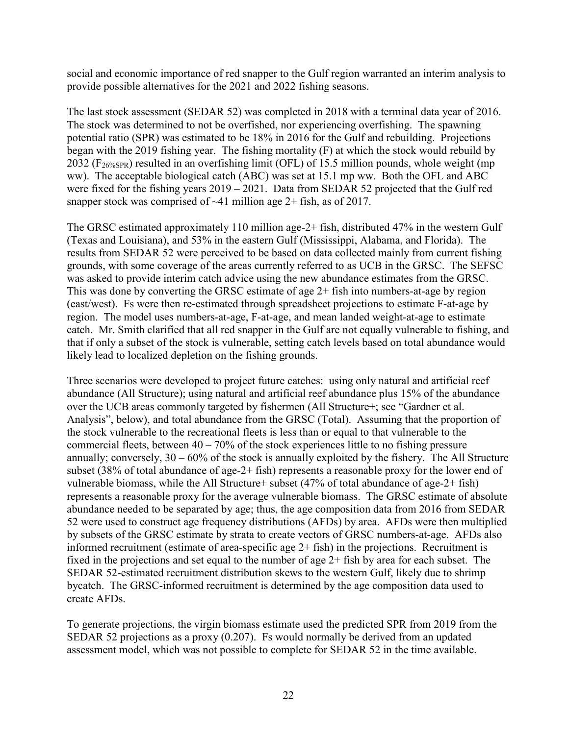social and economic importance of red snapper to the Gulf region warranted an interim analysis to provide possible alternatives for the 2021 and 2022 fishing seasons.

The last stock assessment (SEDAR 52) was completed in 2018 with a terminal data year of 2016. The stock was determined to not be overfished, nor experiencing overfishing. The spawning potential ratio (SPR) was estimated to be 18% in 2016 for the Gulf and rebuilding. Projections began with the 2019 fishing year. The fishing mortality (F) at which the stock would rebuild by 2032 ( $F_{26%SPR}$ ) resulted in an overfishing limit (OFL) of 15.5 million pounds, whole weight (mp ww). The acceptable biological catch (ABC) was set at 15.1 mp ww. Both the OFL and ABC were fixed for the fishing years 2019 – 2021. Data from SEDAR 52 projected that the Gulf red snapper stock was comprised of  $~41$  million age 2+ fish, as of 2017.

The GRSC estimated approximately 110 million age-2+ fish, distributed 47% in the western Gulf (Texas and Louisiana), and 53% in the eastern Gulf (Mississippi, Alabama, and Florida). The results from SEDAR 52 were perceived to be based on data collected mainly from current fishing grounds, with some coverage of the areas currently referred to as UCB in the GRSC. The SEFSC was asked to provide interim catch advice using the new abundance estimates from the GRSC. This was done by converting the GRSC estimate of age 2+ fish into numbers-at-age by region (east/west). Fs were then re-estimated through spreadsheet projections to estimate F-at-age by region. The model uses numbers-at-age, F-at-age, and mean landed weight-at-age to estimate catch. Mr. Smith clarified that all red snapper in the Gulf are not equally vulnerable to fishing, and that if only a subset of the stock is vulnerable, setting catch levels based on total abundance would likely lead to localized depletion on the fishing grounds.

Three scenarios were developed to project future catches: using only natural and artificial reef abundance (All Structure); using natural and artificial reef abundance plus 15% of the abundance over the UCB areas commonly targeted by fishermen (All Structure+; see "Gardner et al. Analysis", below), and total abundance from the GRSC (Total). Assuming that the proportion of the stock vulnerable to the recreational fleets is less than or equal to that vulnerable to the commercial fleets, between  $40 - 70\%$  of the stock experiences little to no fishing pressure annually; conversely,  $30 - 60\%$  of the stock is annually exploited by the fishery. The All Structure subset (38% of total abundance of age-2+ fish) represents a reasonable proxy for the lower end of vulnerable biomass, while the All Structure+ subset (47% of total abundance of age-2+ fish) represents a reasonable proxy for the average vulnerable biomass. The GRSC estimate of absolute abundance needed to be separated by age; thus, the age composition data from 2016 from SEDAR 52 were used to construct age frequency distributions (AFDs) by area. AFDs were then multiplied by subsets of the GRSC estimate by strata to create vectors of GRSC numbers-at-age. AFDs also informed recruitment (estimate of area-specific age 2+ fish) in the projections. Recruitment is fixed in the projections and set equal to the number of age 2+ fish by area for each subset. The SEDAR 52-estimated recruitment distribution skews to the western Gulf, likely due to shrimp bycatch. The GRSC-informed recruitment is determined by the age composition data used to create AFDs.

To generate projections, the virgin biomass estimate used the predicted SPR from 2019 from the SEDAR 52 projections as a proxy (0.207). Fs would normally be derived from an updated assessment model, which was not possible to complete for SEDAR 52 in the time available.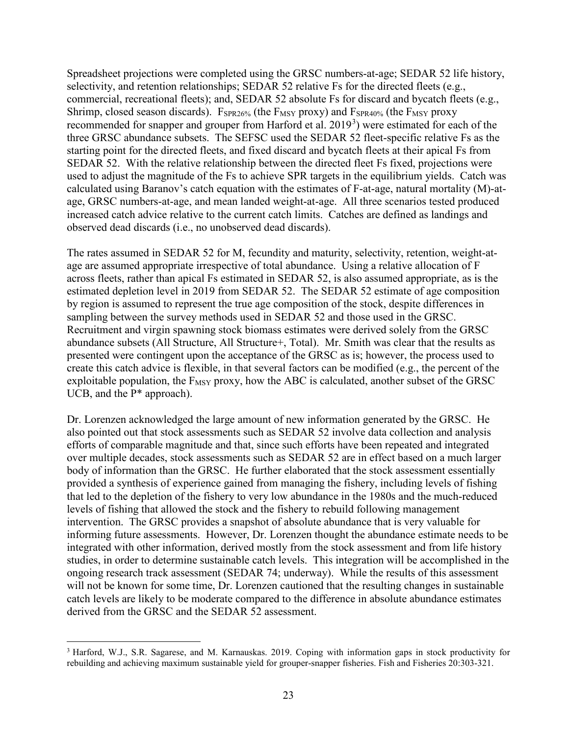Spreadsheet projections were completed using the GRSC numbers-at-age; SEDAR 52 life history, selectivity, and retention relationships; SEDAR 52 relative Fs for the directed fleets (e.g., commercial, recreational fleets); and, SEDAR 52 absolute Fs for discard and bycatch fleets (e.g., Shrimp, closed season discards).  $F_{SPR26\%}$  (the  $F_{MSY}$  proxy) and  $F_{SPR40\%}$  (the  $F_{MSY}$  proxy recommended for snapper and grouper from Harford et al. 2019<sup>[3](#page-22-0)</sup>) were estimated for each of the three GRSC abundance subsets. The SEFSC used the SEDAR 52 fleet-specific relative Fs as the starting point for the directed fleets, and fixed discard and bycatch fleets at their apical Fs from SEDAR 52. With the relative relationship between the directed fleet Fs fixed, projections were used to adjust the magnitude of the Fs to achieve SPR targets in the equilibrium yields. Catch was calculated using Baranov's catch equation with the estimates of F-at-age, natural mortality (M)-atage, GRSC numbers-at-age, and mean landed weight-at-age. All three scenarios tested produced increased catch advice relative to the current catch limits. Catches are defined as landings and observed dead discards (i.e., no unobserved dead discards).

The rates assumed in SEDAR 52 for M, fecundity and maturity, selectivity, retention, weight-atage are assumed appropriate irrespective of total abundance. Using a relative allocation of F across fleets, rather than apical Fs estimated in SEDAR 52, is also assumed appropriate, as is the estimated depletion level in 2019 from SEDAR 52. The SEDAR 52 estimate of age composition by region is assumed to represent the true age composition of the stock, despite differences in sampling between the survey methods used in SEDAR 52 and those used in the GRSC. Recruitment and virgin spawning stock biomass estimates were derived solely from the GRSC abundance subsets (All Structure, All Structure+, Total). Mr. Smith was clear that the results as presented were contingent upon the acceptance of the GRSC as is; however, the process used to create this catch advice is flexible, in that several factors can be modified (e.g., the percent of the exploitable population, the  $F_{MSY}$  proxy, how the ABC is calculated, another subset of the GRSC UCB, and the P\* approach).

Dr. Lorenzen acknowledged the large amount of new information generated by the GRSC. He also pointed out that stock assessments such as SEDAR 52 involve data collection and analysis efforts of comparable magnitude and that, since such efforts have been repeated and integrated over multiple decades, stock assessments such as SEDAR 52 are in effect based on a much larger body of information than the GRSC. He further elaborated that the stock assessment essentially provided a synthesis of experience gained from managing the fishery, including levels of fishing that led to the depletion of the fishery to very low abundance in the 1980s and the much-reduced levels of fishing that allowed the stock and the fishery to rebuild following management intervention. The GRSC provides a snapshot of absolute abundance that is very valuable for informing future assessments. However, Dr. Lorenzen thought the abundance estimate needs to be integrated with other information, derived mostly from the stock assessment and from life history studies, in order to determine sustainable catch levels. This integration will be accomplished in the ongoing research track assessment (SEDAR 74; underway). While the results of this assessment will not be known for some time, Dr. Lorenzen cautioned that the resulting changes in sustainable catch levels are likely to be moderate compared to the difference in absolute abundance estimates derived from the GRSC and the SEDAR 52 assessment.

<span id="page-22-0"></span> <sup>3</sup> Harford, W.J., S.R. Sagarese, and M. Karnauskas. 2019. Coping with information gaps in stock productivity for rebuilding and achieving maximum sustainable yield for grouper-snapper fisheries. Fish and Fisheries 20:303-321.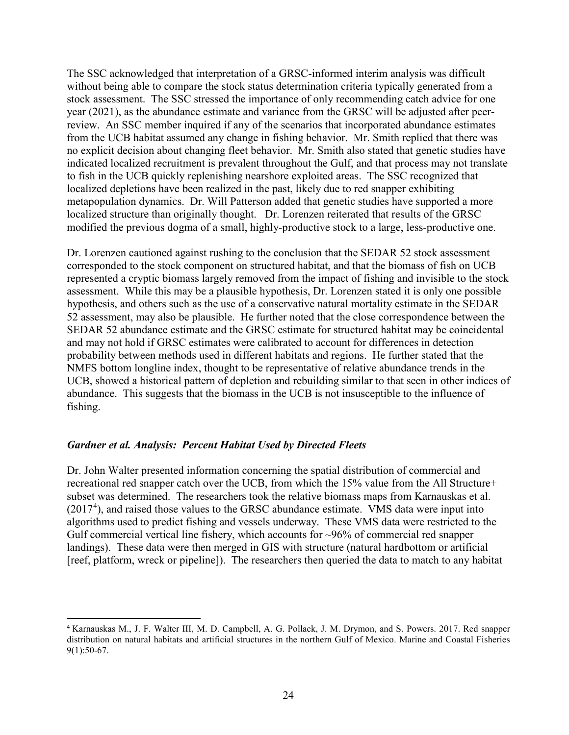The SSC acknowledged that interpretation of a GRSC-informed interim analysis was difficult without being able to compare the stock status determination criteria typically generated from a stock assessment. The SSC stressed the importance of only recommending catch advice for one year (2021), as the abundance estimate and variance from the GRSC will be adjusted after peerreview. An SSC member inquired if any of the scenarios that incorporated abundance estimates from the UCB habitat assumed any change in fishing behavior. Mr. Smith replied that there was no explicit decision about changing fleet behavior. Mr. Smith also stated that genetic studies have indicated localized recruitment is prevalent throughout the Gulf, and that process may not translate to fish in the UCB quickly replenishing nearshore exploited areas. The SSC recognized that localized depletions have been realized in the past, likely due to red snapper exhibiting metapopulation dynamics. Dr. Will Patterson added that genetic studies have supported a more localized structure than originally thought. Dr. Lorenzen reiterated that results of the GRSC modified the previous dogma of a small, highly-productive stock to a large, less-productive one.

Dr. Lorenzen cautioned against rushing to the conclusion that the SEDAR 52 stock assessment corresponded to the stock component on structured habitat, and that the biomass of fish on UCB represented a cryptic biomass largely removed from the impact of fishing and invisible to the stock assessment. While this may be a plausible hypothesis, Dr. Lorenzen stated it is only one possible hypothesis, and others such as the use of a conservative natural mortality estimate in the SEDAR 52 assessment, may also be plausible. He further noted that the close correspondence between the SEDAR 52 abundance estimate and the GRSC estimate for structured habitat may be coincidental and may not hold if GRSC estimates were calibrated to account for differences in detection probability between methods used in different habitats and regions. He further stated that the NMFS bottom longline index, thought to be representative of relative abundance trends in the UCB, showed a historical pattern of depletion and rebuilding similar to that seen in other indices of abundance. This suggests that the biomass in the UCB is not insusceptible to the influence of fishing.

## *Gardner et al. Analysis: Percent Habitat Used by Directed Fleets*

Dr. John Walter presented information concerning the spatial distribution of commercial and recreational red snapper catch over the UCB, from which the 15% value from the All Structure+ subset was determined. The researchers took the relative biomass maps from Karnauskas et al. (2017<sup>[4](#page-23-0)</sup>), and raised those values to the GRSC abundance estimate. VMS data were input into algorithms used to predict fishing and vessels underway. These VMS data were restricted to the Gulf commercial vertical line fishery, which accounts for  $\sim$ 96% of commercial red snapper landings). These data were then merged in GIS with structure (natural hardbottom or artificial [reef, platform, wreck or pipeline]). The researchers then queried the data to match to any habitat

<span id="page-23-0"></span> <sup>4</sup> Karnauskas M., J. F. Walter III, M. D. Campbell, A. G. Pollack, J. M. Drymon, and S. Powers. 2017. Red snapper distribution on natural habitats and artificial structures in the northern Gulf of Mexico. Marine and Coastal Fisheries 9(1):50-67.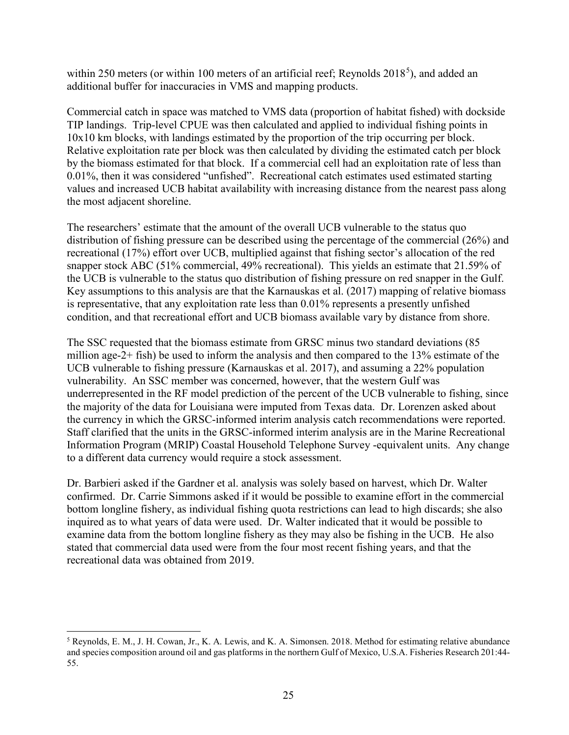within 2[5](#page-24-0)0 meters (or within 100 meters of an artificial reef; Reynolds 2018<sup>5</sup>), and added an additional buffer for inaccuracies in VMS and mapping products.

Commercial catch in space was matched to VMS data (proportion of habitat fished) with dockside TIP landings. Trip-level CPUE was then calculated and applied to individual fishing points in 10x10 km blocks, with landings estimated by the proportion of the trip occurring per block. Relative exploitation rate per block was then calculated by dividing the estimated catch per block by the biomass estimated for that block. If a commercial cell had an exploitation rate of less than 0.01%, then it was considered "unfished". Recreational catch estimates used estimated starting values and increased UCB habitat availability with increasing distance from the nearest pass along the most adjacent shoreline.

The researchers' estimate that the amount of the overall UCB vulnerable to the status quo distribution of fishing pressure can be described using the percentage of the commercial (26%) and recreational (17%) effort over UCB, multiplied against that fishing sector's allocation of the red snapper stock ABC (51% commercial, 49% recreational). This yields an estimate that 21.59% of the UCB is vulnerable to the status quo distribution of fishing pressure on red snapper in the Gulf. Key assumptions to this analysis are that the Karnauskas et al. (2017) mapping of relative biomass is representative, that any exploitation rate less than 0.01% represents a presently unfished condition, and that recreational effort and UCB biomass available vary by distance from shore.

The SSC requested that the biomass estimate from GRSC minus two standard deviations (85 million age-2+ fish) be used to inform the analysis and then compared to the  $13\%$  estimate of the UCB vulnerable to fishing pressure (Karnauskas et al. 2017), and assuming a 22% population vulnerability. An SSC member was concerned, however, that the western Gulf was underrepresented in the RF model prediction of the percent of the UCB vulnerable to fishing, since the majority of the data for Louisiana were imputed from Texas data. Dr. Lorenzen asked about the currency in which the GRSC-informed interim analysis catch recommendations were reported. Staff clarified that the units in the GRSC-informed interim analysis are in the Marine Recreational Information Program (MRIP) Coastal Household Telephone Survey -equivalent units. Any change to a different data currency would require a stock assessment.

Dr. Barbieri asked if the Gardner et al. analysis was solely based on harvest, which Dr. Walter confirmed. Dr. Carrie Simmons asked if it would be possible to examine effort in the commercial bottom longline fishery, as individual fishing quota restrictions can lead to high discards; she also inquired as to what years of data were used. Dr. Walter indicated that it would be possible to examine data from the bottom longline fishery as they may also be fishing in the UCB. He also stated that commercial data used were from the four most recent fishing years, and that the recreational data was obtained from 2019.

<span id="page-24-0"></span> <sup>5</sup> Reynolds, E. M., J. H. Cowan, Jr., K. A. Lewis, and K. A. Simonsen. 2018. Method for estimating relative abundance and species composition around oil and gas platforms in the northern Gulf of Mexico, U.S.A. Fisheries Research 201:44- 55.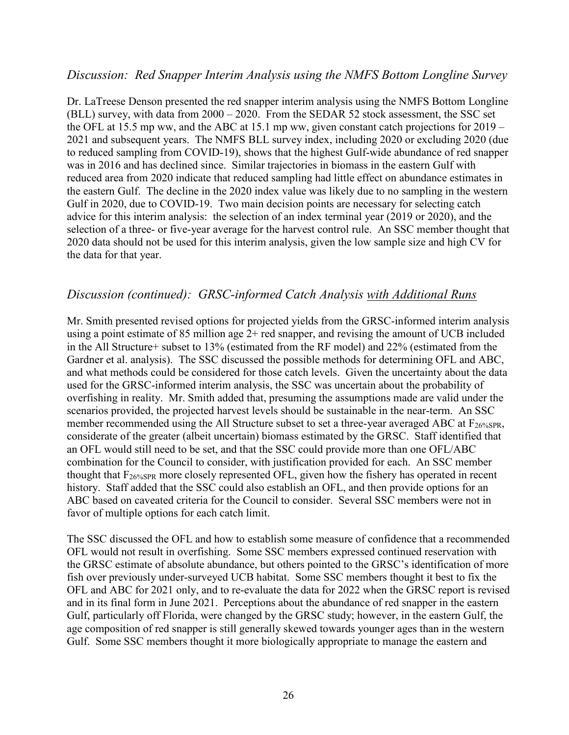## *Discussion: Red Snapper Interim Analysis using the NMFS Bottom Longline Survey*

Dr. LaTreese Denson presented the red snapper interim analysis using the NMFS Bottom Longline (BLL) survey, with data from 2000 – 2020. From the SEDAR 52 stock assessment, the SSC set the OFL at 15.5 mp ww, and the ABC at 15.1 mp ww, given constant catch projections for 2019 – 2021 and subsequent years. The NMFS BLL survey index, including 2020 or excluding 2020 (due to reduced sampling from COVID-19), shows that the highest Gulf-wide abundance of red snapper was in 2016 and has declined since. Similar trajectories in biomass in the eastern Gulf with reduced area from 2020 indicate that reduced sampling had little effect on abundance estimates in the eastern Gulf. The decline in the 2020 index value was likely due to no sampling in the western Gulf in 2020, due to COVID-19. Two main decision points are necessary for selecting catch advice for this interim analysis: the selection of an index terminal year (2019 or 2020), and the selection of a three- or five-year average for the harvest control rule. An SSC member thought that 2020 data should not be used for this interim analysis, given the low sample size and high CV for the data for that year.

## *Discussion (continued): GRSC-informed Catch Analysis with Additional Runs*

Mr. Smith presented revised options for projected yields from the GRSC-informed interim analysis using a point estimate of 85 million age 2+ red snapper, and revising the amount of UCB included in the All Structure+ subset to 13% (estimated from the RF model) and 22% (estimated from the Gardner et al. analysis). The SSC discussed the possible methods for determining OFL and ABC, and what methods could be considered for those catch levels. Given the uncertainty about the data used for the GRSC-informed interim analysis, the SSC was uncertain about the probability of overfishing in reality. Mr. Smith added that, presuming the assumptions made are valid under the scenarios provided, the projected harvest levels should be sustainable in the near-term. An SSC member recommended using the All Structure subset to set a three-year averaged ABC at  $F_{26\%SPR}$ , considerate of the greater (albeit uncertain) biomass estimated by the GRSC. Staff identified that an OFL would still need to be set, and that the SSC could provide more than one OFL/ABC combination for the Council to consider, with justification provided for each. An SSC member thought that  $F_{26%SPR}$  more closely represented OFL, given how the fishery has operated in recent history. Staff added that the SSC could also establish an OFL, and then provide options for an ABC based on caveated criteria for the Council to consider. Several SSC members were not in favor of multiple options for each catch limit.

The SSC discussed the OFL and how to establish some measure of confidence that a recommended OFL would not result in overfishing. Some SSC members expressed continued reservation with the GRSC estimate of absolute abundance, but others pointed to the GRSC's identification of more fish over previously under-surveyed UCB habitat. Some SSC members thought it best to fix the OFL and ABC for 2021 only, and to re-evaluate the data for 2022 when the GRSC report is revised and in its final form in June 2021. Perceptions about the abundance of red snapper in the eastern Gulf, particularly off Florida, were changed by the GRSC study; however, in the eastern Gulf, the age composition of red snapper is still generally skewed towards younger ages than in the western Gulf. Some SSC members thought it more biologically appropriate to manage the eastern and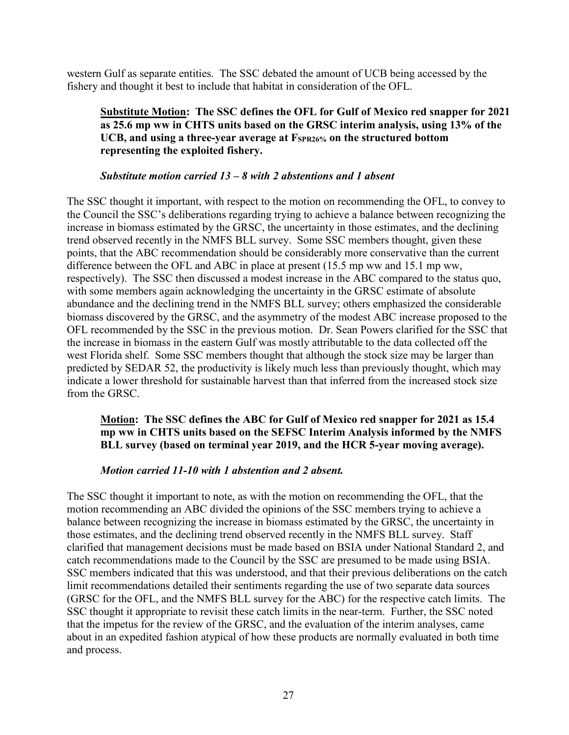western Gulf as separate entities. The SSC debated the amount of UCB being accessed by the fishery and thought it best to include that habitat in consideration of the OFL.

## **Substitute Motion: The SSC defines the OFL for Gulf of Mexico red snapper for 2021 as 25.6 mp ww in CHTS units based on the GRSC interim analysis, using 13% of the UCB, and using a three-year average at FSPR26% on the structured bottom representing the exploited fishery.**

## *Substitute motion carried 13 – 8 with 2 abstentions and 1 absent*

The SSC thought it important, with respect to the motion on recommending the OFL, to convey to the Council the SSC's deliberations regarding trying to achieve a balance between recognizing the increase in biomass estimated by the GRSC, the uncertainty in those estimates, and the declining trend observed recently in the NMFS BLL survey. Some SSC members thought, given these points, that the ABC recommendation should be considerably more conservative than the current difference between the OFL and ABC in place at present (15.5 mp ww and 15.1 mp ww, respectively). The SSC then discussed a modest increase in the ABC compared to the status quo, with some members again acknowledging the uncertainty in the GRSC estimate of absolute abundance and the declining trend in the NMFS BLL survey; others emphasized the considerable biomass discovered by the GRSC, and the asymmetry of the modest ABC increase proposed to the OFL recommended by the SSC in the previous motion. Dr. Sean Powers clarified for the SSC that the increase in biomass in the eastern Gulf was mostly attributable to the data collected off the west Florida shelf. Some SSC members thought that although the stock size may be larger than predicted by SEDAR 52, the productivity is likely much less than previously thought, which may indicate a lower threshold for sustainable harvest than that inferred from the increased stock size from the GRSC.

### **Motion: The SSC defines the ABC for Gulf of Mexico red snapper for 2021 as 15.4 mp ww in CHTS units based on the SEFSC Interim Analysis informed by the NMFS BLL survey (based on terminal year 2019, and the HCR 5-year moving average).**

## *Motion carried 11-10 with 1 abstention and 2 absent.*

The SSC thought it important to note, as with the motion on recommending the OFL, that the motion recommending an ABC divided the opinions of the SSC members trying to achieve a balance between recognizing the increase in biomass estimated by the GRSC, the uncertainty in those estimates, and the declining trend observed recently in the NMFS BLL survey. Staff clarified that management decisions must be made based on BSIA under National Standard 2, and catch recommendations made to the Council by the SSC are presumed to be made using BSIA. SSC members indicated that this was understood, and that their previous deliberations on the catch limit recommendations detailed their sentiments regarding the use of two separate data sources (GRSC for the OFL, and the NMFS BLL survey for the ABC) for the respective catch limits. The SSC thought it appropriate to revisit these catch limits in the near-term. Further, the SSC noted that the impetus for the review of the GRSC, and the evaluation of the interim analyses, came about in an expedited fashion atypical of how these products are normally evaluated in both time and process.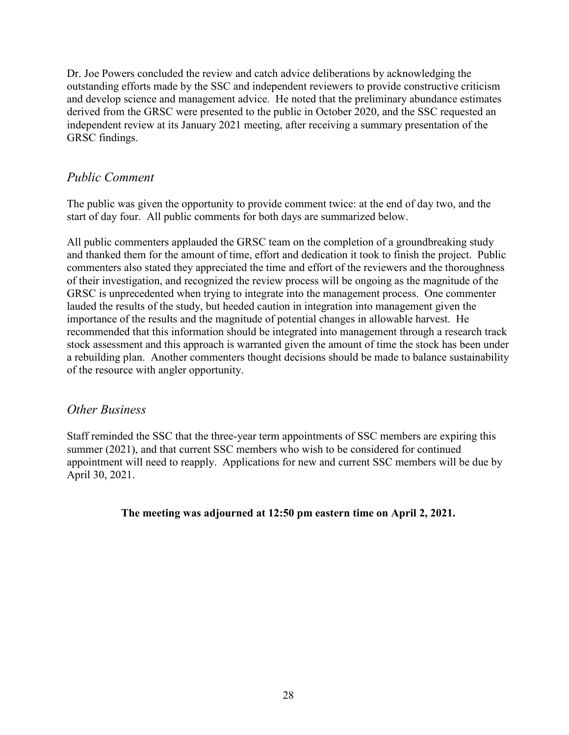Dr. Joe Powers concluded the review and catch advice deliberations by acknowledging the outstanding efforts made by the SSC and independent reviewers to provide constructive criticism and develop science and management advice. He noted that the preliminary abundance estimates derived from the GRSC were presented to the public in October 2020, and the SSC requested an independent review at its January 2021 meeting, after receiving a summary presentation of the GRSC findings.

# *Public Comment*

The public was given the opportunity to provide comment twice: at the end of day two, and the start of day four. All public comments for both days are summarized below.

All public commenters applauded the GRSC team on the completion of a groundbreaking study and thanked them for the amount of time, effort and dedication it took to finish the project. Public commenters also stated they appreciated the time and effort of the reviewers and the thoroughness of their investigation, and recognized the review process will be ongoing as the magnitude of the GRSC is unprecedented when trying to integrate into the management process. One commenter lauded the results of the study, but heeded caution in integration into management given the importance of the results and the magnitude of potential changes in allowable harvest. He recommended that this information should be integrated into management through a research track stock assessment and this approach is warranted given the amount of time the stock has been under a rebuilding plan. Another commenters thought decisions should be made to balance sustainability of the resource with angler opportunity.

# *Other Business*

Staff reminded the SSC that the three-year term appointments of SSC members are expiring this summer (2021), and that current SSC members who wish to be considered for continued appointment will need to reapply. Applications for new and current SSC members will be due by April 30, 2021.

**The meeting was adjourned at 12:50 pm eastern time on April 2, 2021.**